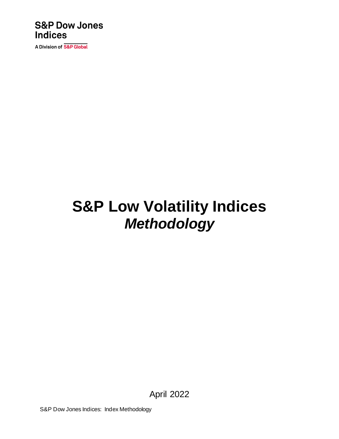

A Division of S&P Global

# **S&P Low Volatility Indices** *Methodology*

April 2022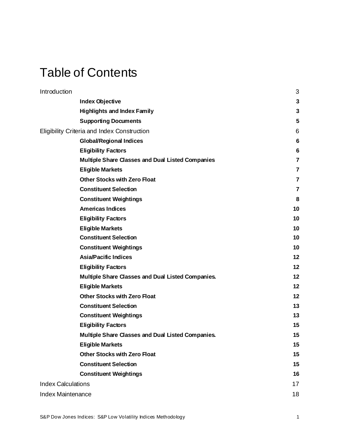# Table of Contents

| Introduction              |                                                   | 3  |
|---------------------------|---------------------------------------------------|----|
|                           | <b>Index Objective</b>                            | 3  |
|                           | <b>Highlights and Index Family</b>                | 3  |
|                           | <b>Supporting Documents</b>                       | 5  |
|                           | Eligibility Criteria and Index Construction       | 6  |
|                           | <b>Global/Regional Indices</b>                    | 6  |
|                           | <b>Eligibility Factors</b>                        | 6  |
|                           | Multiple Share Classes and Dual Listed Companies  | 7  |
|                           | <b>Eligible Markets</b>                           | 7  |
|                           | <b>Other Stocks with Zero Float</b>               | 7  |
|                           | <b>Constituent Selection</b>                      | 7  |
|                           | <b>Constituent Weightings</b>                     | 8  |
|                           | <b>Americas Indices</b>                           | 10 |
|                           | <b>Eligibility Factors</b>                        | 10 |
|                           | <b>Eligible Markets</b>                           | 10 |
|                           | <b>Constituent Selection</b>                      | 10 |
|                           | <b>Constituent Weightings</b>                     | 10 |
|                           | <b>Asia/Pacific Indices</b>                       | 12 |
|                           | <b>Eligibility Factors</b>                        | 12 |
|                           | Multiple Share Classes and Dual Listed Companies. | 12 |
|                           | <b>Eligible Markets</b>                           | 12 |
|                           | <b>Other Stocks with Zero Float</b>               | 12 |
|                           | <b>Constituent Selection</b>                      | 13 |
|                           | <b>Constituent Weightings</b>                     | 13 |
|                           | <b>Eligibility Factors</b>                        | 15 |
|                           | Multiple Share Classes and Dual Listed Companies. | 15 |
|                           | <b>Eligible Markets</b>                           | 15 |
|                           | <b>Other Stocks with Zero Float</b>               | 15 |
|                           | <b>Constituent Selection</b>                      | 15 |
|                           | <b>Constituent Weightings</b>                     | 16 |
| <b>Index Calculations</b> |                                                   | 17 |
| <b>Index Maintenance</b>  |                                                   | 18 |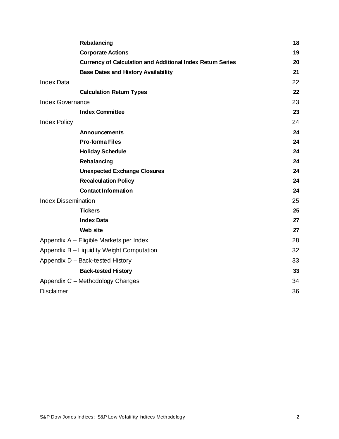| Rebalancing                                                       | 18 |
|-------------------------------------------------------------------|----|
| <b>Corporate Actions</b>                                          | 19 |
| <b>Currency of Calculation and Additional Index Return Series</b> | 20 |
| <b>Base Dates and History Availability</b>                        | 21 |
| <b>Index Data</b>                                                 | 22 |
| <b>Calculation Return Types</b>                                   | 22 |
| Index Governance                                                  | 23 |
| <b>Index Committee</b>                                            | 23 |
| <b>Index Policy</b>                                               | 24 |
| <b>Announcements</b>                                              | 24 |
| <b>Pro-forma Files</b>                                            | 24 |
| <b>Holiday Schedule</b>                                           | 24 |
| Rebalancing                                                       | 24 |
| <b>Unexpected Exchange Closures</b>                               | 24 |
| <b>Recalculation Policy</b>                                       | 24 |
| <b>Contact Information</b>                                        | 24 |
| <b>Index Dissemination</b>                                        | 25 |
| <b>Tickers</b>                                                    | 25 |
| <b>Index Data</b>                                                 | 27 |
| <b>Web site</b>                                                   | 27 |
| Appendix A - Eligible Markets per Index                           | 28 |
| Appendix B - Liquidity Weight Computation                         |    |
| Appendix D - Back-tested History                                  | 33 |
| <b>Back-tested History</b>                                        | 33 |
| Appendix C - Methodology Changes                                  | 34 |
| <b>Disclaimer</b>                                                 | 36 |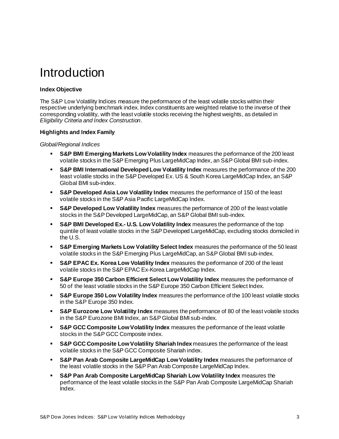# <span id="page-3-0"></span>Introduction

# <span id="page-3-1"></span>**Index Objective**

The S&P Low Volatility Indices measure the performance of the least volatile stocks within their respective underlying benchmark index. Index constituents are weighted relative to the inverse of their corresponding volatility, with the least volatile stocks receiving the highest weights, as detailed in *Eligibility Criteria and Index Construction*.

## <span id="page-3-2"></span>**Highlights and Index Family**

## *Global/Regional Indices*

- **S&P BMI Emerging Markets Low Volatility Index** measures the performance of the 200 least volatile stocks in the S&P Emerging Plus LargeMidCap Index, an S&P Global BMI sub-index.
- **S&P BMI International Developed Low Volatility Index** measures the performance of the 200 least volatile stocks in the S&P Developed Ex. US & South Korea LargeMidCap Index, an S&P Global BMI sub-index.
- **S&P Developed Asia Low Volatility Index** measures the performance of 150 of the least volatile stocks in the S&P Asia Pacific LargeMidCap Index.
- **S&P Developed Low Volatility Index** measures the performance of 200 of the least volatile stocks in the S&P Developed LargeMidCap, an S&P Global BMI sub-index.
- **S&P BMI Developed Ex.- U.S. Low Volatility Index** measures the performance of the top quintile of least volatile stocks in the S&P Developed LargeMidCap, excluding stocks domiciled in the U.S.
- **S&P Emerging Markets Low Volatility Select Index** measures the performance of the 50 least volatile stocks in the S&P Emerging Plus LargeMidCap, an S&P Global BMI sub-index.
- **S&P EPAC Ex. Korea Low Volatility Index** measures the performance of 200 of the least volatile stocks in the S&P EPAC Ex-Korea LargeMidCap Index.
- **S&P Europe 350 Carbon Efficient Select Low Volatility Index** measures the performance of 50 of the least volatile stocks in the S&P Europe 350 Carbon Efficient Select Index.
- **S&P Europe 350 Low Volatility Index** measures the performance of the 100 least volatile stocks in the S&P Europe 350 Index.
- **S&P Eurozone Low Volatility Index** measures the performance of 80 of the least volatile stocks in the S&P Eurozone BMI Index, an S&P Global BMI sub-index.
- **S&P GCC Composite Low Volatility Index** measures the performance of the least volatile stocks in the S&P GCC Composite index.
- **S&P GCC Composite Low Volatility Shariah Index measures the performance of the least** volatile stocks in the S&P GCC Composite Shariah index.
- **S&P Pan Arab Composite LargeMidCap Low Volatility Index** measures the performance of the least volatile stocks in the S&P Pan Arab Composite LargeMidCap Index.
- **S&P Pan Arab Composite LargeMidCap Shariah Low Volatility Index** measures the performance of the least volatile stocks in the S&P Pan Arab Composite LargeMidCap Shariah Index.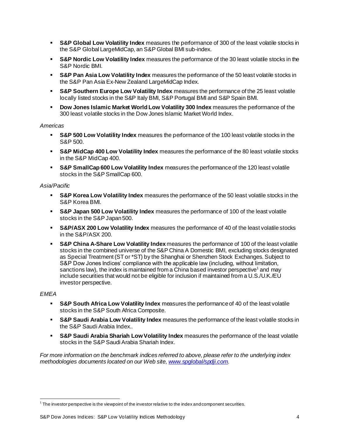- **S&P Global Low Volatility Index** measures the performance of 300 of the least volatile stocks in the S&P Global LargeMidCap, an S&P Global BMI sub-index.
- **S&P Nordic Low Volatility Index** measures the performance of the 30 least volatile stocks in the S&P Nordic BMI.
- **S&P Pan Asia Low Volatility Index** measures the performance of the 50 least volatile stocks in the S&P Pan Asia Ex-New Zealand LargeMidCap Index.
- **S&P Southern Europe Low Volatility Index** measures the performance of the 25 least volatile locally listed stocks in the S&P Italy BMI, S&P Portugal BMI and S&P Spain BMI.
- **Dow Jones Islamic Market World Low Volatility 300 Index** measures the performance of the 300 least volatile stocks in the Dow Jones Islamic Market World Index.

## *Americas*

- **S&P 500 Low Volatility Index** measures the performance of the 100 least volatile stocks in the S&P 500.
- **S&P MidCap 400 Low Volatility Index** measures the performance of the 80 least volatile stocks in the S&P MidCap 400.
- **S&P SmallCap 600 Low Volatility Index** measures the performance of the 120 least volatile stocks in the S&P SmallCap 600.

# *Asia/Pacific*

- **S&P Korea Low Volatility Index** measures the performance of the 50 least volatile stocks in the S&P Korea BMI.
- **S&P Japan 500 Low Volatility Index** measures the performance of 100 of the least volatile stocks in the S&P Japan 500.
- **S&P/ASX 200 Low Volatility Index** measures the performance of 40 of the least volatile stocks in the S&P/ASX 200.
- **S&P China A-Share Low Volatility Index** measures the performance of 100 of the least volatile stocks in the combined universe of the S&P China A Domestic BMI, excluding stocks designated as Special Treatment (ST or \*ST) by the Shanghai or Shenzhen Stock Exchanges. Subject to S&P Dow Jones Indices' compliance with the applicable law (including, without limitation, sanctions law), the index is maintained from a China based investor perspective<sup>1</sup> and may include securities that would not be eligible for inclusion if maintained from a U.S./U.K./EU investor perspective.

# *EMEA*

- **S&P South Africa Low Volatility Index** measures the performance of 40 of the least volatile stocks in the S&P South Africa Composite.
- **S&P Saudi Arabia Low Volatility Index** measures the performance of the least volatile stocks in the S&P Saudi Arabia Index..
- **S&P Saudi Arabia Shariah Low Volatility Index** measures the performance of the least volatile stocks in the S&P Saudi Arabia Shariah Index.

*For more information on the benchmark indices referred to above, please refer to the underlying index methodologies documents located on our Web site[, www.spglobal/spdji.com](http://www.spdji.com/)*.

 $^1$  The investor perspective is the viewpoint of the investor relative to the index and component securities.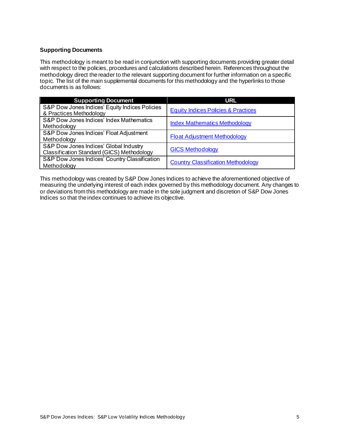# <span id="page-5-0"></span>**Supporting Documents**

This methodology is meant to be read in conjunction with supporting documents providing greater detail with respect to the policies, procedures and calculations described herein. References throughout the methodology direct the reader to the relevant supporting document for further information on a specific topic. The list of the main supplemental documents for this methodology and the hyperlinks to those documents is as follows:

| <b>Supporting Document</b>                     | <b>URL</b>                                     |
|------------------------------------------------|------------------------------------------------|
| S&P Dow Jones Indices' Equity Indices Policies | <b>Equity Indices Policies &amp; Practices</b> |
| & Practices Methodology                        |                                                |
| S&P Dow Jones Indices' Index Mathematics       | <b>Index Mathematics Methodology</b>           |
| Methodology                                    |                                                |
| S&P Dow Jones Indices' Float Adjustment        |                                                |
| Methodology                                    | <b>Float Adjustment Methodology</b>            |
| S&P Dow Jones Indices' Global Industry         | <b>GICS Methodology</b>                        |
| Classification Standard (GICS) Methodology     |                                                |
| S&P Dow Jones Indices' Country Classification  | <b>Country Classification Methodology</b>      |
| Methodology                                    |                                                |

This methodology was created by S&P Dow Jones Indices to achieve the aforementioned objective of measuring the underlying interest of each index governed by this methodology document. Any changes to or deviations from this methodology are made in the sole judgment and discretion of S&P Dow Jones Indices so that the index continues to achieve its objective.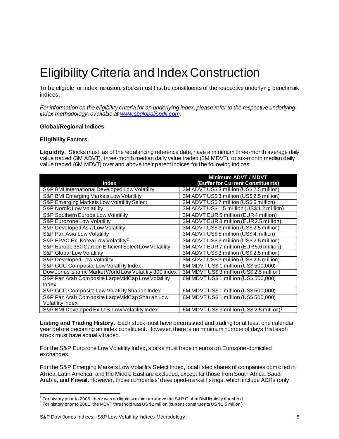# <span id="page-6-0"></span>Eligibility Criteria and Index Construction

To be eligible for index inclusion, stocks must first be constituents of the respective underlying benchmark indices.

*For information on the eligibility criteria for an underlying index, please refer to the respective underlying index methodology, available a[t www.spglobal/spdji.com](http://www.spdji.com/)*.

#### <span id="page-6-1"></span>**Global/Regional Indices**

#### <span id="page-6-2"></span>**Eligibility Factors**

Liquidity. Stocks must, as of the rebalancing reference date, have a minimum three-month average daily value traded (3M ADVT), three-month median daily value traded (3M MDVT), or six-month median daily value traded (6M MDVT) over and above their parent indices for the following indices:

|                                                         | <b>Minimum ADVT / MDVT</b>                             |
|---------------------------------------------------------|--------------------------------------------------------|
| <b>Index</b>                                            | (Buffer for Current Constituents)                      |
| S&P BMI International Developed Low Volatility          | 3M ADVT US\$ 3 million (US\$ 2.5 million)              |
| S&P BMI Emerging Markets Low Volatility                 | 3M ADVT US\$ 3 million (US\$ 2.5 million)              |
| S&P Emerging Markets Low Volatility Select              | 3M ADVT US\$7 million (US\$6 million)                  |
| <b>S&amp;P Nordic Low Volatility</b>                    | 3M ADVT US\$ 1.5 million (US\$ 1.2 million)            |
| S&P Southern Europe Low Volatility                      | 3M ADVT EUR 5 million (EUR 4 million)                  |
| <b>S&amp;P Eurozone Low Volatility</b>                  | 3M ADVT EUR 3 million (EUR 2.5 million)                |
| <b>S&amp;P Developed Asia Low Volatility</b>            | 3M ADVT US\$ 3 million (US\$ 2.5 million)              |
| S&P Pan Asia Low Volatility                             | 3M ADVT US\$ 5 million (US\$ 4 million)                |
| S&P EPAC Ex. Korea Low Volatility <sup>2</sup>          | 3M ADVT US\$ 3 million (US\$ 2.5 million)              |
| S&P Europe 350 Carbon Efficient Select Low Volatility   | 3M ADVT EUR 7 million (EUR 5.6 million)                |
| <b>S&amp;P Global Low Volatility</b>                    | 3M ADVT US\$ 3 million (US\$ 2.5 million)              |
| S&P Developed Low Volatility                            | 3M ADVT US\$ 3 million (US\$ 2.5 million)              |
| S&P GCC Composite Low Volatility Index                  | 6M MDVT US\$ 1 million (US\$ 500,000)                  |
| Dow Jones Islamic Market World Low Volatility 300 Index | 3M MDVT US\$ 3 million (US\$ 2.5 million)              |
| S&P Pan Arab Composite LargeMidCap Low Volatility       | 6M MDVT US\$ 1 million (US\$ 500,000)                  |
| Index                                                   |                                                        |
| S&P GCC Composite Low Volatility Shariah Index          | 6M MDVT US\$ 1 million (US\$ 500,000)                  |
| S&P Pan Arab Composite LargeMidCap Shariah Low          | 6M MDVT US\$ 1 million (US\$ 500,000)                  |
| <b>Volatility Index</b>                                 |                                                        |
| S&P BMI Developed Ex-U.S. Low Volatility Index          | 6M MDVT US\$ 3 million (US\$ 2.5 million) <sup>3</sup> |

**Listing and Trading History.** Each stock must have been issued and trading for at least one calendar year before becoming an index constituent. However, there is no minimum number of days that each stock must have actually traded.

For the S&P Eurozone Low Volatility Index, stocks must trade in euros on Eurozone-domiciled exchanges.

For the S&P Emerging Markets Low Volatility Select Index, local listed shares of companies domiciled in Africa, Latin America, and the Middle East are excluded, except for those from South Africa, Saudi Arabia, and Kuwait. However, those companies' developed-market listings, which include ADRs (only

 $^2$  For history prior to 2005, there was no liquidity minimum above the S&P Global BMI liquidity threshold.

 $^3$  For history prior to 2001, the MDVT threshold was US \$2 million (current constituents US \$1.5 million ).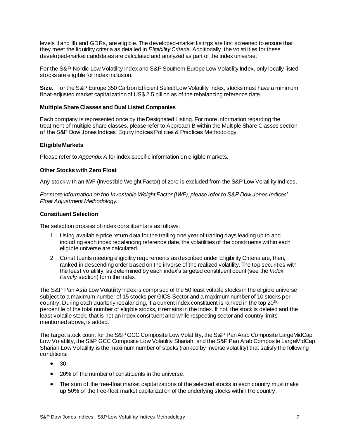levels II and III) and GDRs, are eligible. The developed-market listings are first screened to ensure that they meet the liquidity criteria as detailed in *Eligibility Criteria*. Additionally, the volatilities for these developed-market candidates are calculated and analyzed as part of the index universe.

For the S&P Nordic Low Volatility Index and S&P Southern Europe Low Volatility Index, only locally listed stocks are eligible for index inclusion.

**Size.** For the S&P Europe 350 Carbon Efficient Select Low Volatility Index, stocks must have a minimum float-adjusted market capitalization of US\$ 2.5 billion as of the rebalancing reference date.

## <span id="page-7-0"></span>**Multiple Share Classes and Dual Listed Companies**

Each company is represented once by the Designated Listing. For more information regarding the treatment of multiple share classes, please refer to Approach B within the Multiple Share Classes section of the S&P Dow Jones Indices' Equity Indices Policies & Practices Methodology.

## <span id="page-7-1"></span>**Eligible Markets**

<span id="page-7-2"></span>Please refer to *Appendix A* for index-specific information on eligible markets.

#### **Other Stocks with Zero Float**

Any stock with an IWF (Investible Weight Factor) of zero is excluded from the S&P Low Volatility Indices.

*For more information on the Investable Weight Factor (IWF), please refer to S&P Dow Jones Indices' Float Adjustment Methodology.*

# <span id="page-7-3"></span>**Constituent Selection**

The selection process of index constituents is as follows:

- 1. Using available price return data for the trailing one year of trading days leading up to and including each index rebalancing reference date, the volatilities of the constituents within each eligible universe are calculated.
- 2. Constituents meeting eligibility requirements as described under Eligibility Criteria are, then, ranked in descending order based on the inverse of the realized volatility. The top securities with the least volatility, as determined by each index's targeted constituent count (see the *Index Family* section) form the index.

The S&P Pan Asia Low Volatility Index is comprised of the 50 least volatile stocks in the eligible universe subject to a maximum number of 15 stocks per GICS Sector and a maximum number of 10 stocks per country. During each quarterly rebalancing, if a current index constituent is ranked in the top 20<sup>th</sup>percentile of the total number of eligible stocks, it remains in the index. If not, the stock is deleted and the least volatile stock, that is not an index constituent and while respecting sector and country limits mentioned above, is added.

The target stock count for the S&P GCC Composite Low Volatility, the S&P Pan Arab Composite LargeMidCap Low Volatility, the S&P GCC Composite Low Volatility Shariah, and the S&P Pan Arab Composite LargeMidCap Shariah Low Volatility is the maximum number of stocks (ranked by inverse volatility) that satisfy the following conditions:

- 30,
- 20% of the number of constituents in the universe.
- The sum of the free-float market capitalizations of the selected stocks in each country must make up 50% of the free-float market capitalization of the underlying stocks within the country.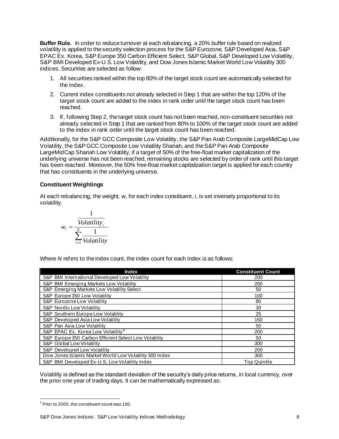**Buffer Rule.** In order to reduce turnover at each rebalancing, a 20% buffer rule based on realized volatility is applied to the security selection process for the S&P Eurozone, S&P Developed Asia, S&P EPAC Ex. Korea, S&P Europe 350 Carbon Efficient Select, S&P Global, S&P Developed Low Volatility, S&P BMI Developed Ex-U.S. Low Volatility, and Dow Jones Islamic Market World Low Volatility 300 indices. Securities are selected as follow:

- 1. All securities ranked within the top 80% of the target stock count are automatically selected for the index.
- 2. Current index constituents not already selected in Step 1 that are within the top 120% of the target stock count are added to the index in rank order until the target stock count has been reached.
- 3. If, following Step 2, the target stock count has not been reached, non-constituent securities not already selected in Step 1 that are ranked from 80% to 100% of the target stock count are added to the index in rank order until the target stock count has been reached.

Additionally, for the S&P GCC Composite Low Volatility, the S&P Pan Arab Composite LargeMidCap Low Volatility, the S&P GCC Composite Low Volatility Shariah, and the S&P Pan Arab Composite LargeMidCap Shariah Low Volatility, if a target of 50% of the free-float market capitalization of the underlying universe has not been reached, remaining stocks are selected by order of rank until this target has been reached. Moreover, the 50% free-float market capitalization target is applied for each country that has constituents in the underlying universe.

## <span id="page-8-0"></span>**Constituent Weightings**

At each rebalancing, the weight, *w*, for each index constituent, *i*, is set inversely proportional to its volatility.

$$
w_i = \frac{\frac{1}{Volatility_i}}{\sum_{i=1}^{N} \frac{1}{Volatility_i}}
$$

Where *N* refers to the index count, the index count for each index is as follows:

| <b>Index</b>                                            | <b>Constituent Count</b> |
|---------------------------------------------------------|--------------------------|
| S&P BMI International Developed Low Volatility          | 200                      |
| S&P BMI Emerging Markets Low Volatility                 | 200                      |
| S&P Emerging Markets Low Volatility Select              | 50                       |
| S&P Europe 350 Low Volatility                           | 100                      |
| S&P Eurozone Low Volatility                             | 80                       |
| <b>S&amp;P Nordic Low Volatility</b>                    | 30                       |
| S&P Southern Europe Low Volatility                      | 25                       |
| S&P Developed Asia Low Volatility                       | 150                      |
| S&P Pan Asia Low Volatility                             | 50                       |
| S&P EPAC Ex. Korea Low Volatility <sup>4</sup>          | 200                      |
| S&P Europe 350 Carbon Efficient Select Low Volatility   | 50                       |
| S&P Global Low Volatility                               | 300                      |
| S&P Developed Low Volatility                            | 200                      |
| Dow Jones Islamic Market World Low Volatility 300 Index | 300                      |
| S&P BMI Developed Ex-U.S. Low Volatility Index          | <b>Top Quintile</b>      |

Volatility is defined as the standard deviation of the security's daily price returns, in local currency, over the prior one year of trading days. It can be mathematically expressed as:

 $4$  Prior to 2005, the constituent count was 100.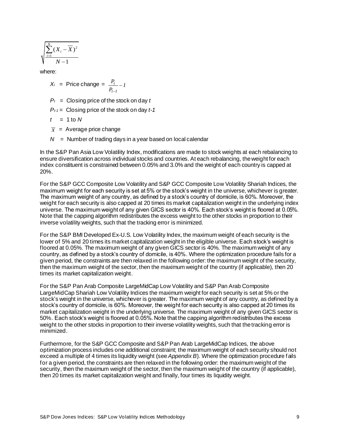$$
\sqrt{\frac{\sum_{i=1}^{N} (X_i - \overline{X})^2}{N-1}}
$$

where:

$$
X_i = \text{Price change} = \frac{P_t}{P_{t-1}} - I
$$

*Pt* = Closing price of the stock on day *t*

*Pt-1* = Closing price of the stock on day *t-1*

$$
t = 1 \text{ to } N
$$

- $\overline{X}$  = Average price change
- $N =$  Number of trading days in a year based on local calendar

In the S&P Pan Asia Low Volatility Index, modifications are made to stock weights at each rebalancing to ensure diversification across individual stocks and countries. At each rebalancing, the weight for each index constituent is constrained between 0.05% and 3.0% and the weight of each country is capped at 20%.

For the S&P GCC Composite Low Volatility and S&P GCC Composite Low Volatility Shariah Indices, the maximum weight for each security is set at 5% or the stock's weight in the universe, whichever is greater. The maximum weight of any country, as defined by a stock's country of domicile, is 60%. Moreover, the weight for each security is also capped at 20 times its market capitalization weight in the underlying index universe. The maximum weight of any given GICS sector is 40%. Each stock's weight is floored at 0.05%. Note that the capping algorithm redistributes the excess weight to the other stocks in proportion to their inverse volatility weights, such that the tracking error is minimized.

For the S&P BMI Developed Ex-U.S. Low Volatility Index, the maximum weight of each security is the lower of 5% and 20 times its market capitalization weight in the eligible universe. Each stock's weight is floored at 0.05%. The maximum weight of any given GICS sector is 40%. The maximum weight of any country, as defined by a stock's country of domicile, is 40%. Where the optimization procedure fails for a given period, the constraints are then relaxed in the following order: the maximum weight of the security, then the maximum weight of the sector, then the maximum weight of the country (if applicable), then 20 times its market capitalization weight.

For the S&P Pan Arab Composite LargeMidCap Low Volatility and S&P Pan Arab Composite LargeMidCap Shariah Low Volatility Indices the maximum weight for each security is set at 5% or the stock's weight in the universe, whichever is greater. The maximum weight of any country, as defined by a stock's country of domicile, is 60%. Moreover, the weight for each security is also capped at 20 times its market capitalization weight in the underlying universe. The maximum weight of any given GICS sector is 50%. Each stock's weight is floored at 0.05%. Note that the capping algorithm redistributes the excess weight to the other stocks in proportion to their inverse volatility weights, such that the tracking error is minimized.

Furthermore, for the S&P GCC Composite and S&P Pan Arab LargeMidCap Indices, the above optimization process includes one additional constraint; the maximum weight of each security should not exceed a multiple of 4 times its liquidity weight (see *Appendix B*). Where the optimization procedure fails for a given period, the constraints are then relaxed in the following order: the maximum weight of the security, then the maximum weight of the sector, then the maximum weight of the country (if applicable), then 20 times its market capitalization weight and finally, four times its liquidity weight.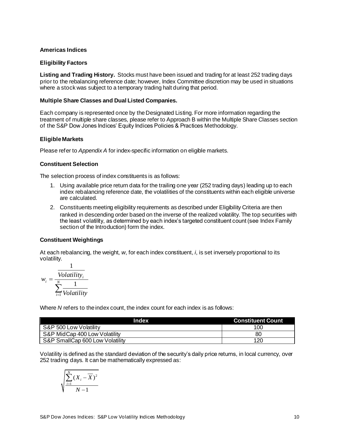# <span id="page-10-0"></span>**Americas Indices**

## <span id="page-10-1"></span>**Eligibility Factors**

**Listing and Trading History.** Stocks must have been issued and trading for at least 252 trading days prior to the rebalancing reference date; however, Index Committee discretion may be used in situations where a stock was subject to a temporary trading halt during that period.

#### **Multiple Share Classes and Dual Listed Companies.**

Each company is represented once by the Designated Listing. For more information regarding the treatment of multiple share classes, please refer to Approach B within the Multiple Share Classes section of the S&P Dow Jones Indices' Equity Indices Policies & Practices Methodology.

## <span id="page-10-2"></span>**Eligible Markets**

<span id="page-10-3"></span>Please refer to *Appendix A* for index-specific information on eligible markets.

## **Constituent Selection**

The selection process of index constituents is as follows:

- 1. Using available price return data for the trailing one year (252 trading days) leading up to each index rebalancing reference date, the volatilities of the constituents within each eligible universe are calculated.
- 2. Constituents meeting eligibility requirements as described under Eligibility Criteria are then ranked in descending order based on the inverse of the realized volatility. The top securities with the least volatility, as determined by each index's targeted constituent count (see Index Family section of the Introduction) form the index.

# <span id="page-10-4"></span>**Constituent Weightings**

At each rebalancing, the weight, *w*, for each index constituent, *i*, is set inversely proportional to its volatility.

$$
w_i = \frac{\frac{1}{Volatility_i}}{\sum_{i=1}^{N} \frac{1}{Volatility}}
$$

Where *N* refers to the index count, the index count for each index is as follows:

| Index                           | <b>Constituent Count</b> |
|---------------------------------|--------------------------|
| S&P 500 Low Volatility          | 10C                      |
| S&P MidCap 400 Low Volatility   | 80                       |
| S&P SmallCap 600 Low Volatility | 12C                      |

Volatility is defined as the standard deviation of the security's daily price returns, in local currency, over 252 trading days. It can be mathematically expressed as:

$$
\sqrt{\frac{\sum_{i=1}^{N} (X_i - \overline{X})^2}{N-1}}
$$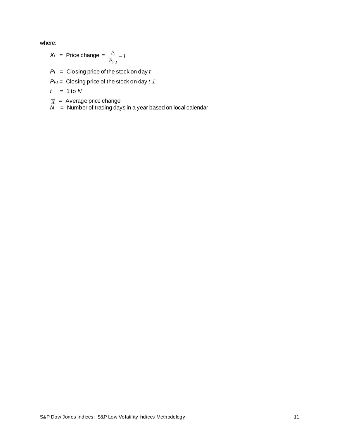where:

$$
X_i = \text{Price change} = \frac{P_t}{P_{t-1}} - I
$$

*Pt* = Closing price of the stock on day *t*

*Pt-1* = Closing price of the stock on day *t-1*

$$
t = 1 \text{ to } N
$$

- $\overline{X}$  = Average price change
- *N* = Number of trading days in a year based on local calendar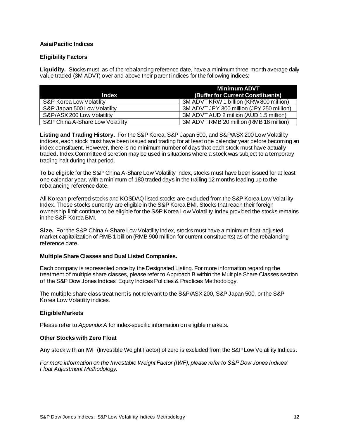# <span id="page-12-0"></span>**Asia/Pacific Indices**

# <span id="page-12-1"></span>**Eligibility Factors**

Liquidity. Stocks must, as of the rebalancing reference date, have a minimum three-month average daily value traded (3M ADVT) over and above their parent indices for the following indices:

|                                  | Minimum ADVT                              |
|----------------------------------|-------------------------------------------|
| Index                            | (Buffer for Current Constituents)         |
| S&P Korea Low Volatility         | 3M ADVT KRW 1 billion (KRW 800 million)   |
| S&P Japan 500 Low Volatility     | 3M ADVT JPY 300 million (JPY 250 million) |
| S&P/ASX 200 Low Volatility       | 3M ADVT AUD 2 million (AUD 1.5 million)   |
| S&P China A-Share Low Volatility | 3M ADVT RMB 20 million (RMB 18 million)   |

**Listing and Trading History.** For the S&P Korea, S&P Japan 500, and S&P/ASX 200 Low Volatility indices, each stock must have been issued and trading for at least one calendar year before becoming an index constituent. However, there is no minimum number of days that each stock must have actually traded. Index Committee discretion may be used in situations where a stock was subject to a temporary trading halt during that period.

To be eligible for the S&P China A-Share Low Volatility Index, stocks must have been issued for at least one calendar year, with a minimum of 180 traded days in the trailing 12 months leading up to the rebalancing reference date.

All Korean preferred stocks and KOSDAQ listed stocks are excluded from the S&P Korea Low Volatility Index. These stocks currently are eligible in the S&P Korea BMI. Stocks that reach their foreign ownership limit continue to be eligible for the S&P Korea Low Volatility Index provided the stocks remains in the S&P Korea BMI.

**Size.** For the S&P China A-Share Low Volatility Index, stocks must have a minimum float-adjusted market capitalization of RMB 1 billion (RMB 900 million for current constituents) as of the rebalancing reference date.

#### <span id="page-12-2"></span>**Multiple Share Classes and Dual Listed Companies.**

Each company is represented once by the Designated Listing. For more information regarding the treatment of multiple share classes, please refer to Approach B within the Multiple Share Classes section of the S&P Dow Jones Indices' Equity Indices Policies & Practices Methodology.

The multiple share class treatment is not relevant to the S&P/ASX 200, S&P Japan 500, or the S&P Korea Low Volatility indices.

# <span id="page-12-3"></span>**Eligible Markets**

<span id="page-12-4"></span>Please refer to *Appendix A* for index-specific information on eligible markets.

#### **Other Stocks with Zero Float**

Any stock with an IWF (Investible Weight Factor) of zero is excluded from the S&P Low Volatility Indices.

*For more information on the Investable Weight Factor (IWF), please refer to S&P Dow Jones Indices' Float Adjustment Methodology.*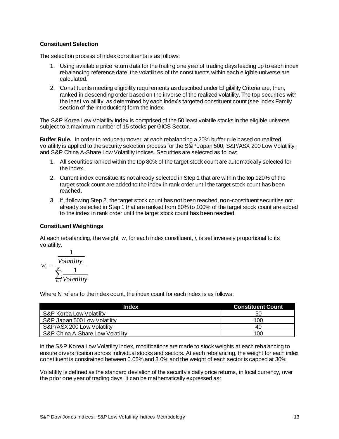# <span id="page-13-0"></span>**Constituent Selection**

The selection process of index constituents is as follows:

- 1. Using available price return data for the trailing one year of trading days leading up to each index rebalancing reference date, the volatilities of the constituents within each eligible universe are calculated.
- 2. Constituents meeting eligibility requirements as described under Eligibility Criteria are, then, ranked in descending order based on the inverse of the realized volatility. The top securities with the least volatility, as determined by each index's targeted constituent count (see Index Family section of the Introduction) form the index.

The S&P Korea Low Volatility Index is comprised of the 50 least volatile stocks in the eligible universe subject to a maximum number of 15 stocks per GICS Sector.

**Buffer Rule.** In order to reduce turnover, at each rebalancing a 20% buffer rule based on realized volatility is applied to the security selection process for the S&P Japan 500, S&P/ASX 200 Low Volatility , and S&P China A-Share Low Volatility indices. Securities are selected as follow:

- 1. All securities ranked within the top 80% of the target stock count are automatically selected for the index.
- 2. Current index constituents not already selected in Step 1 that are within the top 120% of the target stock count are added to the index in rank order until the target stock count has been reached.
- 3. If, following Step 2, the target stock count has not been reached, non-constituent securities not already selected in Step 1 that are ranked from 80% to 100% of the target stock count are added to the index in rank order until the target stock count has been reached.

# <span id="page-13-1"></span>**Constituent Weightings**

At each rebalancing, the weight, *w*, for each index constituent, *i*, is set inversely proportional to its volatility.

$$
w_i = \frac{\frac{1}{Volatility_i}}{\sum_{i=1}^{N} \frac{1}{Volatility}}
$$

Where N refers to the index count, the index count for each index is as follows:

| Index                            | <b>Constituent Count</b> |
|----------------------------------|--------------------------|
| S&P Korea Low Volatility         | 50                       |
| S&P Japan 500 Low Volatility     | 100                      |
| S&P/ASX 200 Low Volatility       | 40                       |
| S&P China A-Share Low Volatility | 100                      |

In the S&P Korea Low Volatility Index, modifications are made to stock weights at each rebalancing to ensure diversification across individual stocks and sectors. At each rebalancing, the weight for each index constituent is constrained between 0.05% and 3.0% and the weight of each sector is capped at 30%.

Volatility is defined as the standard deviation of the security's daily price returns, in local currency, over the prior one year of trading days. It can be mathematically expressed as: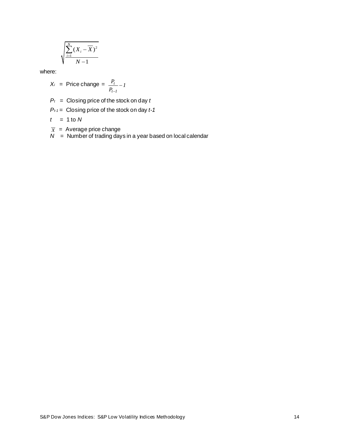$$
\sqrt{\frac{\sum_{i=1}^{N} (X_i - \overline{X})^2}{N-1}}
$$

where:

$$
X_i = \text{Price change} = \frac{P_t}{P_{t-1}} - I
$$

- *Pt* = Closing price of the stock on day *t*
- *Pt-1* = Closing price of the stock on day *t-1*

$$
t = 1 \text{ to } N
$$

- $\overline{X}$  = Average price change
- *N* = Number of trading days in a year based on local calendar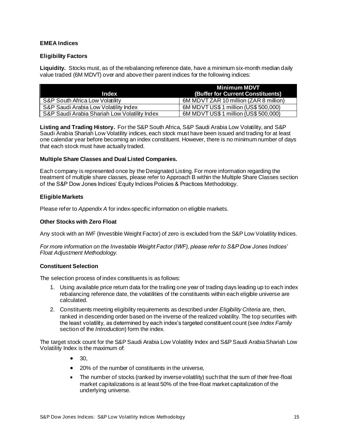# <span id="page-15-0"></span>**EMEA Indices**

# **Eligibility Factors**

**Liquidity.** Stocks must, as of the rebalancing reference date, have a minimum six-month median daily value traded (6M MDVT) over and above their parent indices for the following indices:

|                                               | Minimum MDVT                           |
|-----------------------------------------------|----------------------------------------|
| Index                                         | (Buffer for Current Constituents)      |
| S&P South Africa Low Volatility               | 6M MDVT ZAR 10 million (ZAR 8 million) |
| S&P Saudi Arabia Low Volatility Index         | 6M MDVT US\$ 1 million (US\$ 500,000)  |
| S&P Saudi Arabia Shariah Low Volatility Index | 6M MDVT US\$ 1 million (US\$ 500,000)  |

**Listing and Trading History.** For the S&P South Africa, S&P Saudi Arabia Low Volatility, and S&P Saudi Arabia Shariah Low Volatility indices, each stock must have been issued and trading for at least one calendar year before becoming an index constituent. However, there is no minimum number of days that each stock must have actually traded.

## <span id="page-15-1"></span>**Multiple Share Classes and Dual Listed Companies.**

Each company is represented once by the Designated Listing. For more information regarding the treatment of multiple share classes, please refer to Approach B within the Multiple Share Classes section of the S&P Dow Jones Indices' Equity Indices Policies & Practices Methodology.

## <span id="page-15-2"></span>**Eligible Markets**

<span id="page-15-3"></span>Please refer to *Appendix A* for index-specific information on eligible markets.

#### **Other Stocks with Zero Float**

Any stock with an IWF (Investible Weight Factor) of zero is excluded from the S&P Low Volatility Indices.

*For more information on the Investable Weight Factor (IWF), please refer to S&P Dow Jones Indices' Float Adjustment Methodology.*

#### <span id="page-15-4"></span>**Constituent Selection**

The selection process of index constituents is as follows:

- 1. Using available price return data for the trailing one year of trading days leading up to each index rebalancing reference date, the volatilities of the constituents within each eligible universe are calculated.
- 2. Constituents meeting eligibility requirements as described under *Eligibility Criteria* are, then, ranked in descending order based on the inverse of the realized volatility. The top securities with the least volatility, as determined by each index's targeted constituent count (see *Index Family* section of the *Introduction*) form the index.

The target stock count for the S&P Saudi Arabia Low Volatility Index and S&P Saudi Arabia Shariah Low Volatility Index is the maximum of:

- $\bullet$  30.
- 20% of the number of constituents in the universe,
- The number of stocks (ranked by inverse volatility) such that the sum of their free-float market capitalizations is at least 50% of the free-float market capitalization of the underlying universe.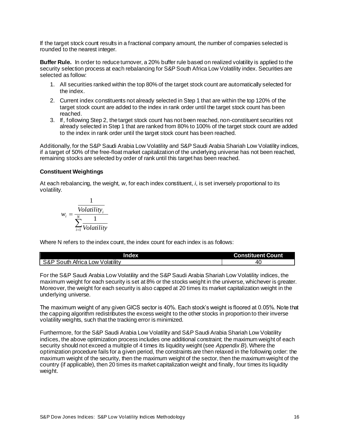If the target stock count results in a fractional company amount, the number of companies selected is rounded to the nearest integer.

**Buffer Rule.** In order to reduce turnover, a 20% buffer rule based on realized volatility is applied to the security selection process at each rebalancing for S&P South Africa Low Volatility index. Securities are selected as follow:

- 1. All securities ranked within the top 80% of the target stock count are automatically selected for the index.
- 2. Current index constituents not already selected in Step 1 that are within the top 120% of the target stock count are added to the index in rank order until the target stock count has been reached.
- 3. If, following Step 2, the target stock count has not been reached, non-constituent securities not already selected in Step 1 that are ranked from 80% to 100% of the target stock count are added to the index in rank order until the target stock count has been reached.

Additionally, for the S&P Saudi Arabia Low Volatility and S&P Saudi Arabia Shariah Low Volatility indices, if a target of 50% of the free-float market capitalization of the underlying universe has not been reached, remaining stocks are selected by order of rank until this target has been reached.

## <span id="page-16-0"></span>**Constituent Weightings**

At each rebalancing, the weight, *w*, for each index constituent, *i*, is set inversely proportional to its volatility.

$$
w_i = \frac{\frac{1}{Volatility_i}}{\sum_{i=1}^{N} \frac{1}{Volatility_i}}
$$

Where N refers to the index count, the index count for each index is as follows:

| Index                                           | <b>Constituent Count</b> |
|-------------------------------------------------|--------------------------|
| .<br>S&P<br>South<br>. Low Volatılıtv<br>Atrica | г.                       |

For the S&P Saudi Arabia Low Volatility and the S&P Saudi Arabia Shariah Low Volatility indices, the maximum weight for each security is set at 8% or the stocks weight in the universe, whichever is greater. Moreover, the weight for each security is also capped at 20 times its market capitalization weight in the underlying universe.

The maximum weight of any given GICS sector is 40%. Each stock's weight is floored at 0.05%. Note that the capping algorithm redistributes the excess weight to the other stocks in proportion to their inverse volatility weights, such that the tracking error is minimized.

Furthermore, for the S&P Saudi Arabia Low Volatility and S&P Saudi Arabia Shariah Low Volatility indices, the above optimization process includes one additional constraint; the maximum weight of each security should not exceed a multiple of 4 times its liquidity weight (see *Appendix B*). Where the optimization procedure fails for a given period, the constraints are then relaxed in the following order: the maximum weight of the security, then the maximum weight of the sector, then the maximum weight of the country (if applicable), then 20 times its market capitalization weight and finally, four times its liquidity weight.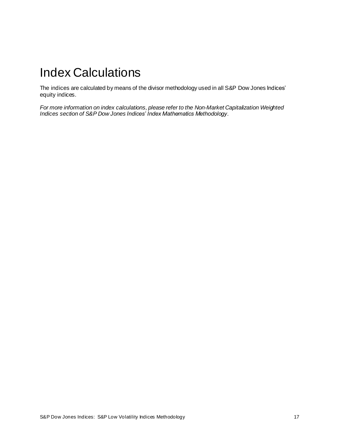# <span id="page-17-0"></span>Index Calculations

The indices are calculated by means of the divisor methodology used in all S&P Dow Jones Indices' equity indices.

*For more information on index calculations, please refer to the Non-Market Capitalization Weighted Indices section of S&P Dow Jones Indices' Index Mathematics Methodology.*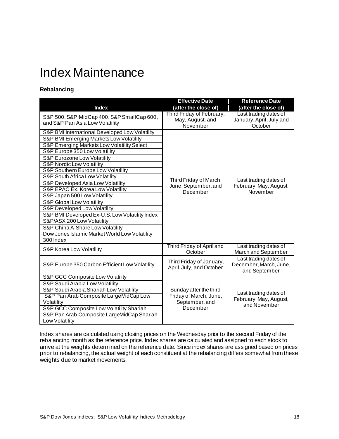# <span id="page-18-0"></span>Index Maintenance

# <span id="page-18-1"></span>**Rebalancing**

|                                                | <b>Effective Date</b>                                | <b>Reference Date</b>                                                                                                                                                                                                                                                                     |  |
|------------------------------------------------|------------------------------------------------------|-------------------------------------------------------------------------------------------------------------------------------------------------------------------------------------------------------------------------------------------------------------------------------------------|--|
| <b>Index</b>                                   | (after the close of)                                 | (after the close of)                                                                                                                                                                                                                                                                      |  |
| S&P 500, S&P MidCap 400, S&P SmallCap 600,     | Third Friday of February,                            | Last trading dates of                                                                                                                                                                                                                                                                     |  |
| and S&P Pan Asia Low Volatility                | May, August, and<br>November                         |                                                                                                                                                                                                                                                                                           |  |
| S&P BMI International Developed Low Volatility |                                                      |                                                                                                                                                                                                                                                                                           |  |
| S&P BMI Emerging Markets Low Volatility        |                                                      |                                                                                                                                                                                                                                                                                           |  |
| S&P Emerging Markets Low Volatility Select     |                                                      |                                                                                                                                                                                                                                                                                           |  |
| S&P Europe 350 Low Volatility                  |                                                      |                                                                                                                                                                                                                                                                                           |  |
| <b>S&amp;P Eurozone Low Volatility</b>         |                                                      |                                                                                                                                                                                                                                                                                           |  |
| <b>S&amp;P Nordic Low Volatility</b>           |                                                      |                                                                                                                                                                                                                                                                                           |  |
| S&P Southern Europe Low Volatility             |                                                      |                                                                                                                                                                                                                                                                                           |  |
| <b>S&amp;P South Africa Low Volatility</b>     |                                                      |                                                                                                                                                                                                                                                                                           |  |
| S&P Developed Asia Low Volatility              | Third Friday of March,                               |                                                                                                                                                                                                                                                                                           |  |
| S&P EPAC Ex. Korea Low Volatility              | June, September, and                                 | January, April, July and<br>October<br>Last trading dates of<br>February, May, August,<br>November<br>Last trading dates of<br>March and September<br>Last trading dates of<br>December, March, June,<br>and September<br>Last trading dates of<br>February, May, August,<br>and November |  |
| S&P Japan 500 Low Volatility                   | December                                             |                                                                                                                                                                                                                                                                                           |  |
| S&P Global Low Volatility                      |                                                      |                                                                                                                                                                                                                                                                                           |  |
| <b>S&amp;P Developed Low Volatility</b>        |                                                      |                                                                                                                                                                                                                                                                                           |  |
| S&P BMI Developed Ex-U.S. Low Volatility Index |                                                      |                                                                                                                                                                                                                                                                                           |  |
| S&P/ASX 200 Low Volatility                     |                                                      |                                                                                                                                                                                                                                                                                           |  |
| S&P China A-Share Low Volatility               |                                                      |                                                                                                                                                                                                                                                                                           |  |
| Dow Jones Islamic Market World Low Volatility  |                                                      |                                                                                                                                                                                                                                                                                           |  |
| 300 Index                                      |                                                      |                                                                                                                                                                                                                                                                                           |  |
| S&P Korea Low Volatility                       | Third Friday of April and<br>October                 |                                                                                                                                                                                                                                                                                           |  |
| S&P Europe 350 Carbon Efficient Low Volatility | Third Friday of January,<br>April, July, and October |                                                                                                                                                                                                                                                                                           |  |
| S&P GCC Composite Low Volatility               |                                                      |                                                                                                                                                                                                                                                                                           |  |
| S&P Saudi Arabia Low Volatility                |                                                      |                                                                                                                                                                                                                                                                                           |  |
| S&P Saudi Arabia Shariah Low Volatility        | Sunday after the third                               |                                                                                                                                                                                                                                                                                           |  |
| S&P Pan Arab Composite LargeMidCap Low         | Friday of March, June,                               |                                                                                                                                                                                                                                                                                           |  |
| Volatility                                     | September, and                                       |                                                                                                                                                                                                                                                                                           |  |
| S&P GCC Composite Low Volatility Shariah       | December                                             |                                                                                                                                                                                                                                                                                           |  |
| S&P Pan Arab Composite LargeMidCap Shariah     |                                                      |                                                                                                                                                                                                                                                                                           |  |
| <b>Low Volatility</b>                          |                                                      |                                                                                                                                                                                                                                                                                           |  |

Index shares are calculated using closing prices on the Wednesday prior to the second Friday of the rebalancing month as the reference price. Index shares are calculated and assigned to each stock to arrive at the weights determined on the reference date. Since index shares are assigned based on prices prior to rebalancing, the actual weight of each constituent at the rebalancing differs somewhat from these weights due to market movements.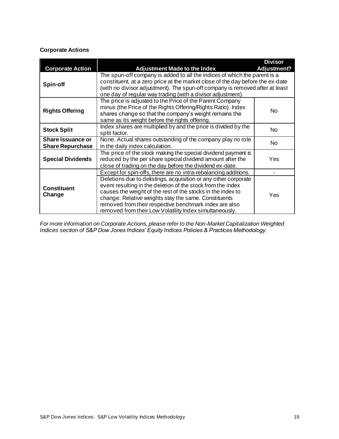# <span id="page-19-0"></span>**Corporate Actions**

| <b>Corporate Action</b>                             | <b>Adjustment Made to the Index</b>                                                                                                                                                                                                                                                                                                                                        | <b>Divisor</b><br><b>Adjustment?</b> |  |
|-----------------------------------------------------|----------------------------------------------------------------------------------------------------------------------------------------------------------------------------------------------------------------------------------------------------------------------------------------------------------------------------------------------------------------------------|--------------------------------------|--|
| Spin-off                                            | The spun-off company is added to all the indices of which the parent is a<br>constituent, at a zero price at the market close of the day before the ex-date<br>(with no divisor adjustment). The spun-off company is removed after at least<br>one day of regular way trading (with a divisor adjustment).                                                                 |                                      |  |
| <b>Rights Offering</b>                              | The price is adjusted to the Price of the Parent Company<br>minus (the Price of the Rights Offering/Rights Ratio). Index<br>shares change so that the company's weight remains the<br>same as its weight before the rights offering.                                                                                                                                       | No.                                  |  |
| <b>Stock Split</b>                                  | Index shares are multiplied by and the price is divided by the<br>split factor.                                                                                                                                                                                                                                                                                            | <b>No</b>                            |  |
| <b>Share Issuance or</b><br><b>Share Repurchase</b> | None. Actual shares outstanding of the company play no role<br>in the daily index calculation.                                                                                                                                                                                                                                                                             | No.                                  |  |
| <b>Special Dividends</b>                            | The price of the stock making the special dividend payment is<br>reduced by the per share special dividend amount after the<br>close of trading on the day before the dividend ex-date.                                                                                                                                                                                    | Yes                                  |  |
|                                                     | Except for spin-offs, there are no intra-rebalancing additions.                                                                                                                                                                                                                                                                                                            |                                      |  |
| <b>Constituent</b><br>Change                        | Deletions due to delistings, acquisition or any other corporate<br>event resulting in the deletion of the stock from the index<br>causes the weight of the rest of the stocks in the index to<br>change. Relative weights stay the same. Constituents<br>removed from their respective benchmark index are also<br>removed from their Low Volatility Index simultaneously. | Yes                                  |  |

*For more information on Corporate Actions, please refer to the Non-Market Capitalization Weighted Indices section of S&P Dow Jones Indices' Equity Indices Policies & Practices Methodology.*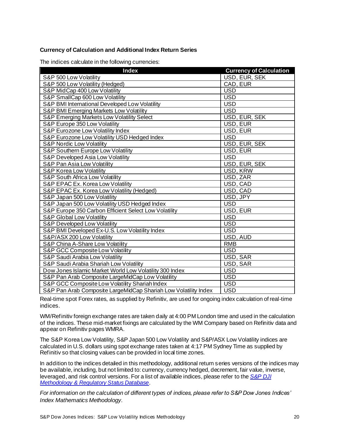# <span id="page-20-0"></span>**Currency of Calculation and Additional Index Return Series**

The indices calculate in the following currencies:

| <b>Index</b>                                                    | <b>Currency of Calculation</b> |
|-----------------------------------------------------------------|--------------------------------|
| S&P 500 Low Volatility                                          | USD, EUR, SEK                  |
| S&P 500 Low Volatility (Hedged)                                 | CAD, EUR                       |
| S&P MidCap 400 Low Volatility                                   | <b>USD</b>                     |
| S&P SmallCap 600 Low Volatility                                 | <b>USD</b>                     |
| S&P BMI International Developed Low Volatility                  | <b>USD</b>                     |
| S&P BMI Emerging Markets Low Volatility                         | <b>USD</b>                     |
| S&P Emerging Markets Low Volatility Select                      | USD, EUR, SEK                  |
| S&P Europe 350 Low Volatility                                   | USD, EUR                       |
| S&P Eurozone Low Volatility Index                               | USD, EUR                       |
| S&P Eurozone Low Volatility USD Hedged Index                    | <b>USD</b>                     |
| <b>S&amp;P Nordic Low Volatility</b>                            | USD, EUR, SEK                  |
| <b>S&amp;P Southern Europe Low Volatility</b>                   | USD, EUR                       |
| S&P Developed Asia Low Volatility                               | <b>USD</b>                     |
| S&P Pan Asia Low Volatility                                     | USD, EUR, SEK                  |
| <b>S&amp;P Korea Low Volatility</b>                             | USD, KRW                       |
| S&P South Africa Low Volatility                                 | USD, ZAR                       |
| S&P EPAC Ex. Korea Low Volatility                               | USD, CAD                       |
| S&P EPAC Ex. Korea Low Volatility (Hedged)                      | USD, CAD                       |
| S&P Japan 500 Low Volatility                                    | USD, JPY                       |
| S&P Japan 500 Low Volatility USD Hedged Index                   | <b>USD</b>                     |
| S&P Europe 350 Carbon Efficient Select Low Volatility           | USD, EUR                       |
| <b>S&amp;P Global Low Volatility</b>                            | <b>USD</b>                     |
| S&P Developed Low Volatility                                    | <b>USD</b>                     |
| S&P BMI Developed Ex-U.S. Low Volatility Index                  | <b>USD</b>                     |
| S&P/ASX 200 Low Volatility                                      | USD, AUD                       |
| S&P China A-Share Low Volatility                                | <b>RMB</b>                     |
| S&P GCC Composite Low Volatility                                | <b>USD</b>                     |
| S&P Saudi Arabia Low Volatility                                 | USD, SAR                       |
| S&P Saudi Arabia Shariah Low Volatility                         | USD, SAR                       |
| Dow Jones Islamic Market World Low Volatility 300 Index         | <b>USD</b>                     |
| S&P Pan Arab Composite LargeMidCap Low Volatility               | <b>USD</b>                     |
| S&P GCC Composite Low Volatility Shariah Index                  | <b>USD</b>                     |
| S&P Pan Arab Composite LargeMidCap Shariah Low Volatility Index | <b>USD</b>                     |

Real-time spot Forex rates, as supplied by Refinitiv, are used for ongoing index calculation of real-time indices.

WM/Refinitiv foreign exchange rates are taken daily at 4:00 PM London time and used in the calculation of the indices. These mid-market fixings are calculated by the WM Company based on Refinitiv data and appear on Refinitiv pages WMRA.

The S&P Korea Low Volatility, S&P Japan 500 Low Volatility and S&P/ASX Low Volatility indices are calculated in U.S. dollars using spot exchange rates taken at 4:17 PM Sydney Time as supplied by Refinitiv so that closing values can be provided in local time zones.

In addition to the indices detailed in this methodology, additional return series versions of the indices may be available, including, but not limited to: currency, currency hedged, decrement, fair value, inverse, leveraged, and risk control versions. For a list of available indices, please refer to the *[S&P DJI](https://www.spglobal.com/spdji/en/governance/methodology-and-regulatory-status/)  [Methodology & Regulatory Status Database](https://www.spglobal.com/spdji/en/governance/methodology-and-regulatory-status/)*.

*For information on the calculation of different types of indices, please refer to S&P Dow Jones Indices' Index Mathematics Methodology*.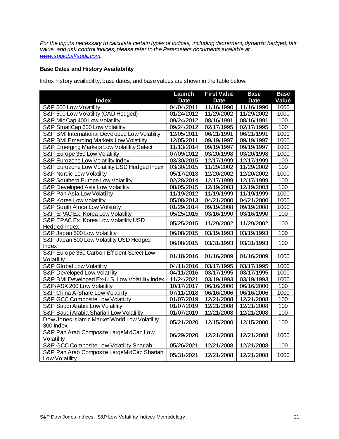*For the inputs necessary to calculate certain types of indices, including decrement, dynamic hedged, fair value, and risk control indices, please refer to the Parameters documents available at [www.spglobal/spdji.com](http://www.spdji.com/).*

# <span id="page-21-0"></span>**Base Dates and History Availability**

Index history availability, base dates, and base values are shown in the table below.

|                                                | Launch      | <b>First Value</b> | <b>Base</b> | <b>Base</b> |
|------------------------------------------------|-------------|--------------------|-------------|-------------|
| Index                                          | <b>Date</b> | <b>Date</b>        | <b>Date</b> | Value       |
| S&P 500 Low Volatility                         | 04/04/2011  | 11/16/1990         | 11/16/1990  | 1000        |
| S&P 500 Low Volatility (CAD Hedged)            | 01/24/2012  | 11/29/2002         | 11/29/2002  | 1000        |
| S&P MidCap 400 Low Volatility                  | 09/24/2012  | 08/16/1991         | 08/16/1991  | 100         |
| S&P SmallCap 600 Low Volatility                | 09/24/2012  | 02/17/1995         | 02/17/1995  | 100         |
| S&P BMI International Developed Low Volatility | 12/05/2011  | 06/21/1991         | 06/21/1991  | 1000        |
| S&P BMI Emerging Markets Low Volatility        | 12/05/2011  | 09/19/1997         | 09/19/1997  | 1000        |
| S&P Emerging Markets Low Volatility Select     | 11/13/2014  | 09/19/1997         | 09/19/1997  | 1000        |
| S&P Europe 350 Low Volatility                  | 07/09/2012  | 03/20/1998         | 03/20/1998  | 1000        |
| S&P Eurozone Low Volatility Index              | 03/30/2015  | 12/17/1999         | 12/17/1999  | 100         |
| S&P Eurozone Low Volatility USD Hedged Index   | 03/30/2015  | 11/29/2002         | 11/29/2002  | 100         |
| <b>S&amp;P Nordic Low Volatility</b>           | 05/17/2013  | 12/20/2002         | 12/20/2002  | 1000        |
| S&P Southern Europe Low Volatility             | 02/28/2014  | 12/17/1999         | 12/17/1999  | 100         |
| S&P Developed Asia Low Volatility              | 08/05/2015  | 12/19/2003         | 12/19/2003  | 100         |
| S&P Pan Asia Low Volatility                    | 11/19/2012  | 11/19/1999         | 11/19/1999  | 1000        |
| <b>S&amp;P Korea Low Volatility</b>            | 05/08/2013  | 04/21/2000         | 04/21/2000  | 1000        |
| S&P South Africa Low Volatility                | 01/29/2014  | 09/19/2008         | 09/19/2008  | 1000        |
| S&P EPAC Ex. Korea Low Volatility              | 05/25/2015  | 03/16/1990         | 03/16/1990  | 100         |
| S&P EPAC Ex. Korea Low Volatility USD          | 05/25/2015  | 11/29/2002         | 11/29/2002  | 100         |
| Hedged Index                                   |             |                    |             |             |
| S&P Japan 500 Low Volatility                   | 06/08/2015  | 03/19/1993         | 03/19/1993  | 100         |
| S&P Japan 500 Low Volatility USD Hedged        | 06/08/2015  | 03/31/1993         | 03/31/1993  | 100         |
| Index                                          |             |                    |             |             |
| S&P Europe 350 Carbon Efficient Select Low     | 01/18/2016  | 01/16/2009         | 01/16/2009  | 1000        |
| Volatility                                     |             |                    |             |             |
| <b>S&amp;P Global Low Volatility</b>           | 04/11/2016  | 03/17/1995         | 03/17/1995  | 1000        |
| <b>S&amp;P Developed Low Volatility</b>        | 04/11/2016  | 03/17/1995         | 03/17/1995  | 1000        |
| S&P BMI Developed Ex-U.S. Low Volatility Index | 11/24/2021  | 03/19/1993         | 03/19/1993  | 1000        |
| S&P/ASX 200 Low Volatility                     | 10/17/2017  | 06/16/2000         | 06/16/2000  | 100         |
| S&P China A-Share Low Volatility               | 07/11/2018  | 06/16/2006         | 06/16/2006  | 1000        |
| S&P GCC Composite Low Volatility               | 01/07/2019  | 12/21/2008         | 12/21/2008  | 100         |
| S&P Saudi Arabia Low Volatility                | 01/07/2019  | 12/21/2008         | 12/21/2008  | 100         |
| S&P Saudi Arabia Shariah Low Volatility        | 01/07/2019  | 12/21/2008         | 12/21/2008  | 100         |
| Dow Jones Islamic Market World Low Volatility  | 05/21/2020  | 12/15/2000         | 12/15/2000  | 100         |
| 300 Index                                      |             |                    |             |             |
| S&P Pan Arab Composite LargeMidCap Low         | 06/29/2020  | 12/21/2008         | 12/21/2008  | 1000        |
| Volatility                                     |             |                    |             |             |
| S&P GCC Composite Low Volatility Shariah       | 05/26/2021  | 12/21/2008         | 12/21/2008  | 100         |
| S&P Pan Arab Composite LargeMidCap Shariah     | 05/31/2021  | 12/21/2008         | 12/21/2008  | 1000        |
| Low Volatility                                 |             |                    |             |             |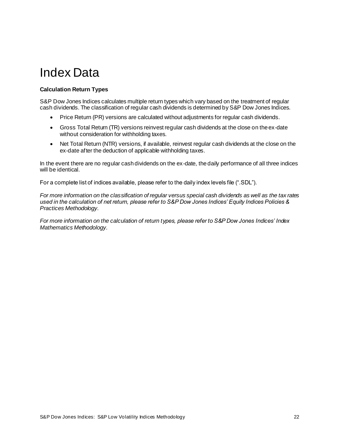# <span id="page-22-0"></span>Index Data

# <span id="page-22-1"></span>**Calculation Return Types**

S&P Dow Jones Indices calculates multiple return types which vary based on the treatment of regular cash dividends. The classification of regular cash dividends is determined by S&P Dow Jones Indices.

- Price Return (PR) versions are calculated without adjustments for regular cash dividends.
- Gross Total Return (TR) versions reinvest regular cash dividends at the close on the ex-date without consideration for withholding taxes.
- Net Total Return (NTR) versions, if available, reinvest regular cash dividends at the close on the ex-date after the deduction of applicable withholding taxes.

In the event there are no regular cash dividends on the ex-date, the daily performance of all three indices will be identical.

For a complete list of indices available, please refer to the daily index levels file (".SDL").

*For more information on the classification of regular versus special cash dividends as well as the tax rates used in the calculation of net return, please refer to S&P Dow Jones Indices' Equity Indices Policies & Practices Methodology*.

*For more information on the calculation of return types, please refer to S&P Dow Jones Indices' Index Mathematics Methodology*.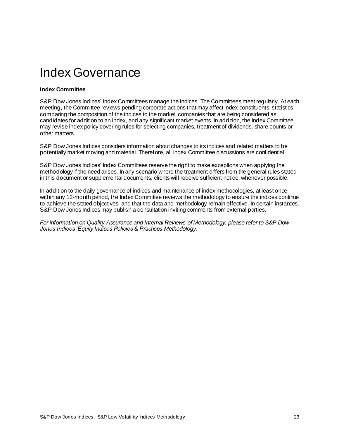# <span id="page-23-0"></span>Index Governance

## <span id="page-23-1"></span>**Index Committee**

S&P Dow Jones Indices' Index Committees manage the indices. The Committees meet regularly. At each meeting, the Committee reviews pending corporate actions that may affect index constituents, statistics comparing the composition of the indices to the market, companies that are being considered as candidates for addition to an index, and any significant market events. In addition, the Index Committee may revise index policy covering rules for selecting companies, treatment of dividends, share counts or other matters.

S&P Dow Jones Indices considers information about changes to its indices and related matters to be potentially market moving and material. Therefore, all Index Committee discussions are confidential.

S&P Dow Jones Indices' Index Committees reserve the right to make exceptions when applying the methodology if the need arises. In any scenario where the treatment differs from the general rules stated in this document or supplemental documents, clients will receive sufficient notice, whenever possible.

In addition to the daily governance of indices and maintenance of index methodologies, at least once within any 12-month period, the Index Committee reviews the methodology to ensure the indices continue to achieve the stated objectives, and that the data and methodology remain effective. In certain instances, S&P Dow Jones Indices may publish a consultation inviting comments from external parties.

*For information on Quality Assurance and Internal Reviews of Methodology, please refer to S&P Dow Jones Indices' Equity Indices Policies & Practices Methodology*.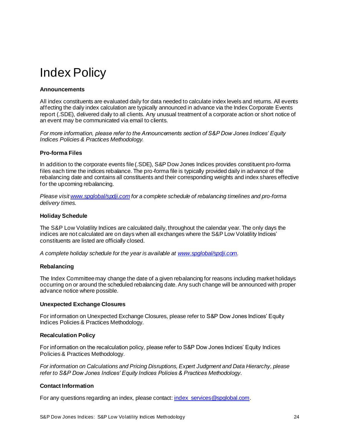# <span id="page-24-0"></span>Index Policy

# <span id="page-24-1"></span>**Announcements**

All index constituents are evaluated daily for data needed to calculate index levels and returns. All events affecting the daily index calculation are typically announced in advance via the Index Corporate Events report (.SDE), delivered daily to all clients. Any unusual treatment of a corporate action or short notice of an event may be communicated via email to clients.

*For more information, please refer to the Announcements section of S&P Dow Jones Indices' Equity Indices Policies & Practices Methodology.*

#### <span id="page-24-2"></span>**Pro-forma Files**

In addition to the corporate events file (.SDE), S&P Dow Jones Indices provides constituent pro-forma files each time the indices rebalance. The pro-forma file is typically provided daily in advance of the rebalancing date and contains all constituents and their corresponding weights and index shares effective for the upcoming rebalancing.

*Please visi[t www.spglobal/spdji.com](http://www.spdji.com/) for a complete schedule of rebalancing timelines and pro-forma delivery times.*

#### <span id="page-24-3"></span>**Holiday Schedule**

The S&P Low Volatility Indices are calculated daily, throughout the calendar year. The only days the indices are not calculated are on days when all exchanges where the S&P Low Volatility Indices' constituents are listed are officially closed.

<span id="page-24-4"></span>*A complete holiday schedule for the year is available a[t www.spglobal/spdji.com](http://www.spdji.com/).*

#### **Rebalancing**

The Index Committee may change the date of a given rebalancing for reasons including market holidays occurring on or around the scheduled rebalancing date. Any such change will be announced with proper advance notice where possible.

#### <span id="page-24-5"></span>**Unexpected Exchange Closures**

For information on Unexpected Exchange Closures, please refer to S&P Dow Jones Indices' Equity Indices Policies & Practices Methodology.

#### <span id="page-24-6"></span>**Recalculation Policy**

For information on the recalculation policy, please refer to S&P Dow Jones Indices' Equity Indices Policies & Practices Methodology.

*For information on Calculations and Pricing Disruptions, Expert Judgment and Data Hierarchy, please refer to S&P Dow Jones Indices' Equity Indices Policies & Practices Methodology*.

#### <span id="page-24-7"></span>**Contact Information**

For any questions regarding an index, please contact[: index\\_services@spglobal.com](mailto:index_services@spglobal.com).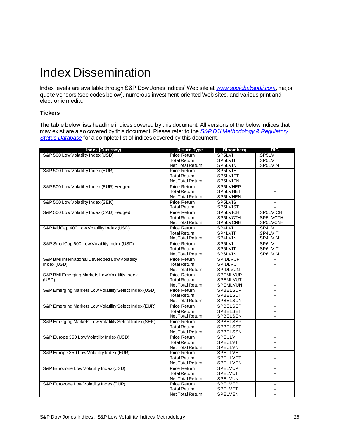# <span id="page-25-0"></span>Index Dissemination

Index levels are available through S&P Dow Jones Indices' Web site at *[www.spglobal/spdji.com](http://www.spdji.com/)*, major quote vendors (see codes below), numerous investment-oriented Web sites, and various print and electronic media.

# <span id="page-25-1"></span>**Tickers**

The table below lists headline indices covered by this document. All versions of the below indices that may exist are also covered by this document. Please refer to the *[S&P DJI Methodology & Regulatory](https://www.spglobal.com/spdji/en/governance/methodology-and-regulatory-status/)  [Status Database](https://www.spglobal.com/spdji/en/governance/methodology-and-regulatory-status/)* for a complete list of indices covered by this document.

| <b>Index (Currency)</b>                                | <b>Return Type</b>                             | <b>Bloomberg</b>                 | <b>RIC</b>               |
|--------------------------------------------------------|------------------------------------------------|----------------------------------|--------------------------|
| S&P 500 Low Volatility Index (USD)                     | Price Return                                   | SP <sub>5LVI</sub>               | .SP5LVI                  |
|                                                        | <b>Total Return</b>                            | SP5LVIT                          | .SP5LVIT                 |
|                                                        | <b>Net Total Return</b>                        | SP5LVIN                          | .SP5LVIN                 |
| S&P 500 Low Volatility Index (EUR)                     | Price Return                                   | SP5LVIE                          |                          |
|                                                        | <b>Total Return</b>                            | SP5LVIET                         |                          |
|                                                        | <b>Net Total Return</b>                        | SP5LVIEN                         | $\overline{a}$           |
| S&P 500 Low Volatility Index (EUR) Hedged              | Price Return                                   | SP5LVHEP                         | $\overline{a}$           |
|                                                        | <b>Total Return</b>                            | SP5LVHET                         | --                       |
|                                                        | <b>Net Total Return</b>                        | SP5LVHEN                         |                          |
| S&P 500 Low Volatility Index (SEK)                     | Price Return                                   | SP5LVIS                          | L.                       |
|                                                        | <b>Total Return</b>                            | SP5LVIST                         |                          |
| S&P 500 Low Volatility Index (CAD) Hedged              | Price Return                                   | SP5LVICH                         | .SP5LVICH                |
|                                                        | <b>Total Return</b>                            | SP5LVCTH                         | .SP5LVCTH                |
|                                                        | <b>Net Total Return</b>                        | SP5LVCNH                         | .SP5LVCNH                |
| S&P MidCap 400 Low Volatility Index (USD)              | Price Return                                   | SP4LVI                           | .SP4LVI                  |
|                                                        | <b>Total Return</b>                            | SP4LVIT                          | .SP4LVIT                 |
|                                                        | <b>Net Total Return</b>                        | SP4LVIN                          | .SP4LVIN                 |
| S&P SmallCap 600 Low Volatility Index (USD)            | Price Return                                   | SP6LVI                           | .SP6LVI                  |
|                                                        | <b>Total Return</b>                            | SP6LVIT                          | .SP6LVIT                 |
|                                                        | <b>Net Total Return</b>                        | SP6LVIN                          | .SP6LVIN                 |
| S&P BMI International Developed Low Volatility         | Price Return                                   | <b>SPIDLVUP</b>                  | L.                       |
| Index (USD)                                            | <b>Total Return</b>                            | SPIDLVUT                         | $\overline{a}$           |
|                                                        | <b>Net Total Return</b>                        | <b>SPIDLVUN</b>                  |                          |
| S&P BMI Emerging Markets Low Volatility Index          | <b>Price Return</b>                            | <b>SPEMLVUP</b>                  | --                       |
| (USD)                                                  | <b>Total Return</b>                            | <b>SPEMLVUT</b>                  |                          |
|                                                        | <b>Net Total Return</b>                        | SPEMLVUN                         | $\overline{\phantom{a}}$ |
| S&P Emerging Markets Low Volatility Select Index (USD) | Price Return                                   | <b>SPBELSUP</b>                  | --                       |
|                                                        | <b>Total Return</b>                            | <b>SPBELSUT</b>                  | $\overline{a}$           |
|                                                        | <b>Net Total Return</b>                        | SPBELSUN                         | --                       |
| S&P Emerging Markets Low Volatility Select Index (EUR) | Price Return                                   | <b>SPBELSEP</b>                  | $\overline{a}$           |
|                                                        | <b>Total Return</b>                            | <b>SPBELSET</b>                  | --                       |
|                                                        | <b>Net Total Return</b>                        | <b>SPBELSEN</b>                  | $\overline{a}$           |
| S&P Emerging Markets Low Volatility Select Index (SEK) | Price Return                                   | <b>SPBELSSP</b>                  | ÷.                       |
|                                                        | <b>Total Return</b>                            | SPBELSST                         | --                       |
|                                                        | <b>Net Total Return</b>                        | <b>SPBELSSN</b>                  | $\overline{a}$           |
| S&P Europe 350 Low Volatility Index (USD)              | Price Return                                   | SPEULV                           | --                       |
|                                                        | <b>Total Return</b>                            | <b>SPEULVT</b><br><b>SPEULVN</b> | --                       |
| S&P Europe 350 Low Volatility Index (EUR)              | <b>Net Total Return</b><br>Price Return        | <b>SPEULVE</b>                   | $\overline{a}$<br>Щ,     |
|                                                        |                                                |                                  |                          |
|                                                        | <b>Total Return</b><br><b>Net Total Return</b> | <b>SPEULVET</b><br>SPEULVEN      | $\overline{a}$<br>--     |
|                                                        |                                                | <b>SPELVUP</b>                   |                          |
| S&P Eurozone Low Volatility Index (USD)                | Price Return<br><b>Total Return</b>            | <b>SPELVUT</b>                   | ц,<br>--                 |
|                                                        | Net Total Return                               | SPELVUN                          | $\overline{a}$           |
|                                                        | Price Return                                   | <b>SPELVEP</b>                   |                          |
| S&P Eurozone Low Volatility Index (EUR)                | <b>Total Return</b>                            | <b>SPELVET</b>                   |                          |
|                                                        | <b>Net Total Return</b>                        | <b>SPELVEN</b>                   |                          |
|                                                        |                                                |                                  |                          |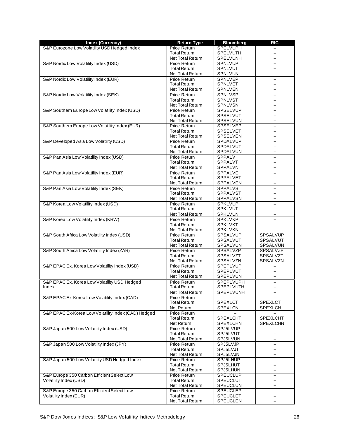| <b>Index (Currency)</b>                               | <b>Return Type</b>                             | <b>Bloomberg</b>                 | <b>RIC</b>     |
|-------------------------------------------------------|------------------------------------------------|----------------------------------|----------------|
| S&P Eurozone Low Volatility USD Hedged Index          | Price Return                                   | <b>SPELVUPH</b>                  |                |
|                                                       | <b>Total Return</b>                            | <b>SPELVUTH</b>                  | --             |
|                                                       | <b>Net Total Return</b>                        | SPELVUNH                         |                |
| S&P Nordic Low Volatility Index (USD)                 | Price Return                                   | <b>SPNLVUP</b>                   | $\overline{a}$ |
|                                                       | <b>Total Return</b>                            | <b>SPNLVUT</b>                   | --             |
|                                                       | <b>Net Total Return</b><br>Price Return        | <b>SPNLVUN</b>                   | --             |
| S&P Nordic Low Volatility Index (EUR)                 | <b>Total Return</b>                            | <b>SPNLVEP</b><br><b>SPNLVET</b> | --             |
|                                                       | Net Total Return                               | SPNLVEN                          | --             |
| S&P Nordic Low Volatility Index (SEK)                 | Price Return                                   | <b>SPNLVSP</b>                   | $\overline{a}$ |
|                                                       | <b>Total Return</b>                            | <b>SPNLVST</b>                   | --             |
|                                                       | <b>Net Total Return</b>                        | <b>SPNLVSN</b>                   |                |
| S&P Southern Europe Low Volatility Index (USD)        | Price Return                                   | <b>SPSELVUP</b>                  | --             |
|                                                       | <b>Total Return</b>                            | <b>SPSELVUT</b>                  | --             |
|                                                       | <b>Net Total Return</b>                        | SPSELVUN                         | --             |
| S&P Southern Europe Low Volatility Index (EUR)        | Price Return                                   | <b>SPSELVEP</b>                  |                |
|                                                       | <b>Total Return</b>                            | <b>SPSELVET</b>                  | --             |
|                                                       | <b>Net Total Return</b>                        | SPSELVEN                         | --             |
| S&P Developed Asia Low Volatility (USD)               | <b>Price Return</b>                            | <b>SPDALVUP</b>                  | --             |
|                                                       | <b>Total Return</b><br><b>Net Total Return</b> | SPDALVUT<br><b>SPDALVUN</b>      | --             |
| S&P Pan Asia Low Volatility Index (USD)               | Price Return                                   | <b>SPPALV</b>                    | --             |
|                                                       | <b>Total Return</b>                            | <b>SPPALVT</b>                   | --             |
|                                                       | <b>Net Total Return</b>                        | <b>SPPALVN</b>                   | --             |
| S&P Pan Asia Low Volatility Index (EUR)               | Price Return                                   | <b>SPPALVE</b>                   | --             |
|                                                       | <b>Total Return</b>                            | <b>SPPALVET</b>                  | --             |
|                                                       | <b>Net Total Return</b>                        | SPPALVEN                         |                |
| S&P Pan Asia Low Volatility Index (SEK)               | Price Return                                   | <b>SPPALVS</b>                   | --             |
|                                                       | <b>Total Return</b>                            | <b>SPPALVST</b>                  |                |
|                                                       | <b>Net Total Return</b>                        | <b>SPPALVSN</b>                  |                |
| S&P Korea Low Volatility Index (USD)                  | Price Return                                   | <b>SPKLVUP</b>                   | Ц,             |
|                                                       | <b>Total Return</b>                            | <b>SPKLVUT</b>                   |                |
|                                                       | <b>Net Total Return</b><br>Price Return        | <b>SPKLVUN</b>                   | --             |
| S&P Korea Low Volatility Index (KRW)                  | <b>Total Return</b>                            | <b>SPKLVKP</b><br><b>SPKLVKT</b> | --             |
|                                                       | <b>Net Total Return</b>                        | <b>SPKLVKN</b>                   |                |
| S&P South Africa Low Volatility Index (USD)           | Price Return                                   | <b>SPSALVUP</b>                  | .SPSALVUP      |
|                                                       | <b>Total Return</b>                            | SPSALVUT                         | .SPSALVUT      |
|                                                       | <b>Net Total Return</b>                        | SPSALVUN                         | .SPSALVUN      |
| S&P South Africa Low Volatility Index (ZAR)           | <b>Price Return</b>                            | <b>SPSALVZP</b>                  | .SPSALVZP      |
|                                                       | <b>Total Return</b>                            | <b>SPSALVZT</b>                  | .SPSALVZT      |
|                                                       | <b>Net Total Return</b>                        | SPSALVZN                         | .SPSALVZN      |
| S&P EPAC Ex. Korea Low Volatility Index (USD)         | <b>Price Return</b>                            | <b>SPEPLVUP</b>                  |                |
|                                                       | <b>Total Return</b>                            | SPEPLVUT                         |                |
|                                                       | <b>Net Total Return</b>                        | SPEPLVUN                         |                |
| S&P EPAC Ex. Korea Low Volatility USD Hedged<br>Index | Price Return<br><b>Total Return</b>            | <b>SPEPLVUPH</b><br>SPEPLVUTH    |                |
|                                                       | Net Total Return                               | SPEPLVUNH                        |                |
| S&P EPAC Ex-Korea Low Volatility Index (CAD)          | Price Return                                   |                                  |                |
|                                                       | <b>Total Return</b>                            | <b>SPEXLCT</b>                   | .SPEXLCT       |
|                                                       | Net Return                                     | <b>SPEXLCN</b>                   | .SPEXLCN       |
| S&P EPAC Ex-Korea Low Volatility Index (CAD) Hedged   | Price Return                                   |                                  |                |
|                                                       | <b>Total Return</b>                            | SPEXLCHT                         | .SPEXLCHT      |
|                                                       | Net Return                                     | <b>SPEXLCHN</b>                  | .SPEXLCHN      |
| S&P Japan 500 Low Volatility Index (USD)              | Price Return                                   | SPJ5LVUP                         |                |
|                                                       | <b>Total Return</b>                            | SPJ5LVUT                         | --             |
| S&P Japan 500 Low Volatility Index (JPY)              | Net Total Return<br>Price Return               | SPJ5LVUN<br>SPJ5LVJP             | ш.             |
|                                                       | <b>Total Return</b>                            | SPJ5LVJT                         | --             |
|                                                       | <b>Net Total Return</b>                        | SPJ5LVJN                         |                |
| S&P Japan 500 Low Volatility USD Hedged Index         | Price Return                                   | <b>SPJ5LHUP</b>                  | ш,             |
|                                                       | <b>Total Return</b>                            | SPJ5LHUT                         | --             |
|                                                       | <b>Net Total Return</b>                        | SPJ5LHUN                         | --             |
| S&P Europe 350 Carbon Efficient Select Low            | Price Return                                   | <b>SPEUCLUP</b>                  |                |
| Volatility Index (USD)                                | <b>Total Return</b>                            | SPEUCLUT                         | -−             |
|                                                       | <b>Net Total Return</b>                        | SPEUCLUN                         | --             |
| S&P Europe 350 Carbon Efficient Select Low            | <b>Price Return</b>                            | <b>SPEUCLEP</b>                  | ш,             |
| Volatility Index (EUR)                                | <b>Total Return</b>                            | <b>SPEUCLET</b>                  | --             |
|                                                       | <b>Net Total Return</b>                        | SPEUCLEN                         |                |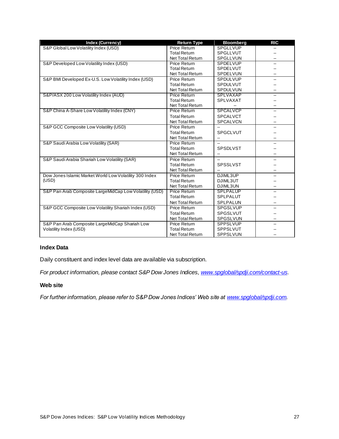| <b>Index (Currency)</b>                                 | <b>Return Type</b>      | <b>Bloomberg</b> | <b>RIC</b> |
|---------------------------------------------------------|-------------------------|------------------|------------|
| S&P Global Low Volatility Index (USD)                   | Price Return            | <b>SPGLLVUP</b>  |            |
|                                                         | <b>Total Return</b>     | <b>SPGLLVUT</b>  |            |
|                                                         | <b>Net Total Return</b> | <b>SPGLLVUN</b>  |            |
| S&P Developed Low Volatility Index (USD)                | Price Return            | <b>SPDELVUP</b>  | --         |
|                                                         | <b>Total Return</b>     | <b>SPDELVUT</b>  |            |
|                                                         | <b>Net Total Return</b> | SPDELVUN         |            |
| S&P BMI Developed Ex-U.S. Low Volatility Index (USD)    | Price Return            | <b>SPDULVUP</b>  |            |
|                                                         | <b>Total Return</b>     | <b>SPDULVUT</b>  |            |
|                                                         | <b>Net Total Return</b> | <b>SPDULVUN</b>  |            |
| S&P/ASX 200 Low Volatility Index (AUD)                  | Price Return            | <b>SPLVAXAP</b>  |            |
|                                                         | <b>Total Return</b>     | <b>SPLVAXAT</b>  |            |
|                                                         | <b>Net Total Return</b> |                  |            |
| S&P China A-Share Low Volatility Index (CNY)            | Price Return            | <b>SPCALVCP</b>  |            |
|                                                         | <b>Total Return</b>     | <b>SPCALVCT</b>  |            |
|                                                         | <b>Net Total Return</b> | <b>SPCALVCN</b>  |            |
| S&P GCC Composite Low Volatility (USD)                  | Price Return            |                  |            |
|                                                         | <b>Total Return</b>     | <b>SPGCLVUT</b>  |            |
|                                                         | <b>Net Total Return</b> | --               |            |
| S&P Saudi Arabia Low Volatility (SAR)                   | Price Return            | $\overline{a}$   |            |
|                                                         | <b>Total Return</b>     | <b>SPSDLVST</b>  |            |
|                                                         | <b>Net Total Return</b> | --               |            |
| S&P Saudi Arabia Shariah Low Volatility (SAR)           | Price Return            |                  | --         |
|                                                         | <b>Total Return</b>     | <b>SPSSLVST</b>  |            |
|                                                         | <b>Net Total Return</b> |                  | --         |
| Dow Jones Islamic Market World Low Volatility 300 Index | Price Return            | DJIML3UP         | --         |
| (USD)                                                   | <b>Total Return</b>     | DJIML3UT         |            |
|                                                         | <b>Net Total Return</b> | DJIML3UN         |            |
| S&P Pan Arab Composite LargeMidCap Low Volatility (USD) | Price Return            | <b>SPLPALUP</b>  | --         |
|                                                         | <b>Total Return</b>     | <b>SPLPALUT</b>  |            |
|                                                         | <b>Net Total Return</b> | <b>SPLPALUN</b>  |            |
| S&P GCC Composite Low Volatility Shariah Index (USD)    | Price Return            | <b>SPGSLVUP</b>  |            |
|                                                         | <b>Total Return</b>     | SPGSLVUT         |            |
|                                                         | Net Total Return        | SPGSLVUN         |            |
| S&P Pan Arab Composite LargeMidCap Shariah Low          | Price Return            | <b>SPPSLVUP</b>  |            |
| Volatility Index (USD)                                  | <b>Total Return</b>     | <b>SPPSLVUT</b>  |            |
|                                                         | <b>Net Total Return</b> | <b>SPPSLVUN</b>  |            |

# <span id="page-27-0"></span>**Index Data**

Daily constituent and index level data are available via subscription.

*For product information, please contact S&P Dow Jones Indices[, www.spglobal/spdji.com/contact-us](http://www.spdji.com/contact-us)*.

# <span id="page-27-1"></span>**Web site**

*For further information, please refer to S&P Dow Jones Indices' Web site a[t www.spglobal/spdji.com](http://www.spdji.com/).*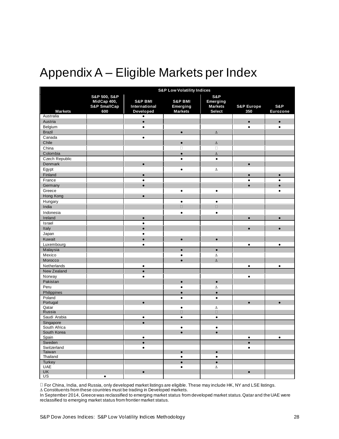# <span id="page-28-0"></span>Appendix A – Eligible Markets per Index

|                 | <b>S&amp;P Low Volatility Indices</b>                         |                                                  |                                                         |                                                           |                              |                 |
|-----------------|---------------------------------------------------------------|--------------------------------------------------|---------------------------------------------------------|-----------------------------------------------------------|------------------------------|-----------------|
| <b>Markets</b>  | S&P 500, S&P<br>MidCap 400,<br><b>S&amp;P SmallCap</b><br>600 | <b>S&amp;P BMI</b><br>International<br>Developed | <b>S&amp;P BMI</b><br><b>Emerging</b><br><b>Markets</b> | S&P<br><b>Emerging</b><br><b>Markets</b><br><b>Select</b> | <b>S&amp;P Europe</b><br>350 | S&P<br>Eurozone |
| Australia       |                                                               | $\bullet$                                        |                                                         |                                                           |                              |                 |
| Austria         |                                                               | $\bullet$                                        |                                                         |                                                           | $\bullet$                    | $\bullet$       |
| Belgium         |                                                               | $\bullet$                                        |                                                         |                                                           | $\bullet$                    | $\bullet$       |
| <b>Brazil</b>   |                                                               |                                                  | $\bullet$                                               | $\Delta$                                                  |                              |                 |
| Canada          |                                                               | $\bullet$                                        |                                                         |                                                           |                              |                 |
| Chile           |                                                               |                                                  | $\bullet$                                               | $\Delta$                                                  |                              |                 |
| China           |                                                               |                                                  | $\Box$                                                  | $\Box$                                                    |                              |                 |
| Colombia        |                                                               |                                                  |                                                         |                                                           |                              |                 |
|                 |                                                               |                                                  | $\bullet$                                               | $\Delta$                                                  |                              |                 |
| Czech Republic  |                                                               |                                                  | $\bullet$                                               | $\bullet$                                                 |                              |                 |
| Denmark         |                                                               | $\bullet$                                        |                                                         |                                                           | $\bullet$                    |                 |
| Egypt           |                                                               |                                                  | $\bullet$                                               | $\Delta$                                                  |                              |                 |
| Finland         |                                                               | $\bullet$                                        |                                                         |                                                           | $\bullet$                    | $\bullet$       |
| France          |                                                               | $\bullet$                                        |                                                         |                                                           | $\bullet$                    | $\bullet$       |
| Germany         |                                                               | $\bullet$                                        |                                                         |                                                           | $\bullet$                    | $\bullet$       |
| Greece          |                                                               |                                                  | $\bullet$                                               | $\bullet$                                                 |                              | $\bullet$       |
| Hong Kong       |                                                               | $\bullet$                                        |                                                         |                                                           |                              |                 |
| Hungary         |                                                               |                                                  | $\bullet$                                               | $\bullet$                                                 |                              |                 |
| India           |                                                               |                                                  | $\Box$                                                  | $\Box$                                                    |                              |                 |
| Indonesia       |                                                               |                                                  | $\bullet$                                               | $\bullet$                                                 |                              |                 |
| Ireland         |                                                               | $\bullet$                                        |                                                         |                                                           | $\bullet$                    | $\bullet$       |
| <b>Israel</b>   |                                                               | $\bullet$                                        |                                                         |                                                           |                              |                 |
| Italy           |                                                               | $\bullet$                                        |                                                         |                                                           | $\bullet$                    | $\bullet$       |
| Japan           |                                                               | $\bullet$                                        |                                                         |                                                           |                              |                 |
| Kuwait          |                                                               | $\bullet$                                        | $\bullet$                                               | $\bullet$                                                 |                              |                 |
|                 |                                                               |                                                  |                                                         |                                                           |                              |                 |
| Luxembourg      |                                                               | $\bullet$                                        |                                                         |                                                           | $\bullet$                    | $\bullet$       |
| Malaysia        |                                                               |                                                  | $\bullet$                                               | $\bullet$                                                 |                              |                 |
| Mexico          |                                                               |                                                  | $\bullet$                                               | $\Delta$                                                  |                              |                 |
| Morocco         |                                                               |                                                  | $\bullet$                                               | $\Delta$                                                  |                              |                 |
| Netherlands     |                                                               | $\bullet$                                        |                                                         |                                                           | $\bullet$                    | $\bullet$       |
| New Zealand     |                                                               | $\bullet$                                        |                                                         |                                                           |                              |                 |
| Norway          |                                                               | $\bullet$                                        |                                                         |                                                           | $\bullet$                    |                 |
| Pakistan        |                                                               |                                                  | $\bullet$                                               | $\bullet$                                                 |                              |                 |
| Peru            |                                                               |                                                  | $\bullet$                                               | Δ                                                         |                              |                 |
| Philippines     |                                                               |                                                  | $\bullet$                                               | $\bullet$                                                 |                              |                 |
| Poland          |                                                               |                                                  | $\bullet$                                               | $\bullet$                                                 |                              |                 |
| Portugal        |                                                               | $\bullet$                                        |                                                         |                                                           | $\bullet$                    | $\bullet$       |
| Qatar           |                                                               |                                                  | $\bullet$                                               | $\Delta$                                                  |                              |                 |
| Russia          |                                                               |                                                  | $\Box$                                                  | $\Box$                                                    |                              |                 |
| Saudi Arabia    |                                                               | ٠                                                | $\bullet$                                               | $\bullet$                                                 |                              |                 |
| Singapore       |                                                               | $\bullet$                                        |                                                         |                                                           |                              |                 |
| South Africa    |                                                               |                                                  | $\bullet$                                               | $\bullet$                                                 |                              |                 |
| South Korea     |                                                               |                                                  |                                                         | $\bullet$                                                 |                              |                 |
| Spain           |                                                               | $\bullet$                                        |                                                         |                                                           | $\bullet$                    | $\bullet$       |
| Sweden          |                                                               | $\bullet$                                        |                                                         |                                                           | $\bullet$                    |                 |
| Switzerland     |                                                               | $\bullet$                                        |                                                         |                                                           | $\bullet$                    |                 |
| Taiwan          |                                                               |                                                  | $\bullet$                                               | $\bullet$                                                 |                              |                 |
| Thailand        |                                                               |                                                  | $\bullet$                                               | $\bullet$                                                 |                              |                 |
| Turkey          |                                                               |                                                  | $\bullet$                                               | $\bullet$                                                 |                              |                 |
| UAE             |                                                               |                                                  | $\bullet$                                               | Δ                                                         |                              |                 |
| <b>UK</b><br>US | $\bullet$                                                     | $\bullet$                                        |                                                         |                                                           | $\bullet$                    |                 |
|                 |                                                               |                                                  |                                                         |                                                           |                              |                 |

For China, India, and Russia, only developed market listings are eligible. These may include HK, NY and LSE listings.

∆ Constituents from these countries must be trading in Developed markets.

In September 2014, Greece was reclassified to emerging market status from developed market status. Qatar and the UAE were reclassified to emerging market status from frontier market status.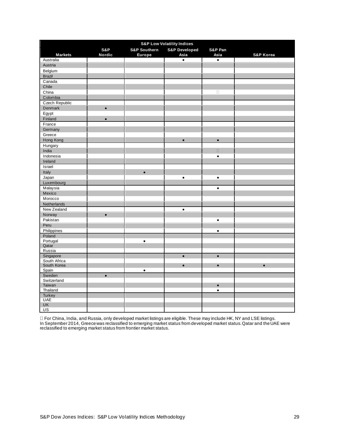| <b>S&amp;P Low Volatility Indices</b> |                          |                                          |                                  |                 |                      |  |
|---------------------------------------|--------------------------|------------------------------------------|----------------------------------|-----------------|----------------------|--|
| <b>Markets</b>                        | <b>S&amp;P</b><br>Nordic | <b>S&amp;P Southern</b><br><b>Europe</b> | <b>S&amp;P Developed</b><br>Asia | S&P Pan<br>Asia | <b>S&amp;P Korea</b> |  |
| Australia                             |                          |                                          | $\bullet$                        | $\bullet$       |                      |  |
| Austria                               |                          |                                          |                                  |                 |                      |  |
| Belgium                               |                          |                                          |                                  |                 |                      |  |
| <b>Brazil</b>                         |                          |                                          |                                  |                 |                      |  |
| Canada                                |                          |                                          |                                  |                 |                      |  |
| Chile                                 |                          |                                          |                                  |                 |                      |  |
| China                                 |                          |                                          |                                  | $\Box$          |                      |  |
| Colombia                              |                          |                                          |                                  |                 |                      |  |
| Czech Republic                        |                          |                                          |                                  |                 |                      |  |
| Denmark                               | $\bullet$                |                                          |                                  |                 |                      |  |
| Egypt                                 |                          |                                          |                                  |                 |                      |  |
| Finland                               | $\bullet$                |                                          |                                  |                 |                      |  |
| France                                |                          |                                          |                                  |                 |                      |  |
| Germany                               |                          |                                          |                                  |                 |                      |  |
| Greece                                |                          |                                          |                                  |                 |                      |  |
| Hong Kong                             |                          |                                          | $\bullet$                        | $\bullet$       |                      |  |
| Hungary                               |                          |                                          |                                  |                 |                      |  |
| India                                 |                          |                                          |                                  | $\Box$          |                      |  |
| Indonesia                             |                          |                                          |                                  | $\bullet$       |                      |  |
| Ireland                               |                          |                                          |                                  |                 |                      |  |
| Israel                                |                          |                                          |                                  |                 |                      |  |
| Italy                                 |                          | $\bullet$                                |                                  |                 |                      |  |
| Japan                                 |                          |                                          | $\bullet$                        | $\bullet$       |                      |  |
| Luxembourg                            |                          |                                          |                                  |                 |                      |  |
| Malaysia                              |                          |                                          |                                  | $\bullet$       |                      |  |
| Mexico                                |                          |                                          |                                  |                 |                      |  |
| Morocco                               |                          |                                          |                                  |                 |                      |  |
| Netherlands                           |                          |                                          |                                  |                 |                      |  |
| New Zealand                           |                          |                                          | $\bullet$                        |                 |                      |  |
| Norway                                | $\bullet$                |                                          |                                  |                 |                      |  |
| Pakistan                              |                          |                                          |                                  | $\bullet$       |                      |  |
| Peru                                  |                          |                                          |                                  |                 |                      |  |
| Philippines                           |                          |                                          |                                  | $\bullet$       |                      |  |
| Poland                                |                          |                                          |                                  |                 |                      |  |
| Portugal                              |                          | $\bullet$                                |                                  |                 |                      |  |
| Qatar                                 |                          |                                          |                                  |                 |                      |  |
| Russia                                |                          |                                          |                                  |                 |                      |  |
| Singapore                             |                          |                                          | $\bullet$                        | $\bullet$       |                      |  |
| South Africa<br>South Korea           |                          |                                          | $\bullet$                        | $\bullet$       | $\bullet$            |  |
| Spain                                 |                          | $\bullet$                                |                                  |                 |                      |  |
| Sweden                                | $\bullet$                |                                          |                                  |                 |                      |  |
| Switzerland                           |                          |                                          |                                  |                 |                      |  |
| Taiwan                                |                          |                                          |                                  | $\bullet$       |                      |  |
| Thailand                              |                          |                                          |                                  | $\bullet$       |                      |  |
| Turkey                                |                          |                                          |                                  |                 |                      |  |
| UAE                                   |                          |                                          |                                  |                 |                      |  |
| <b>UK</b>                             |                          |                                          |                                  |                 |                      |  |
| US                                    |                          |                                          |                                  |                 |                      |  |

For China, India, and Russia, only developed market listings are eligible. These may include HK, NY and LSE listings. In September 2014, Greece was reclassified to emerging market status from developed market status. Qatar and the UAE were reclassified to emerging market status from frontier market status.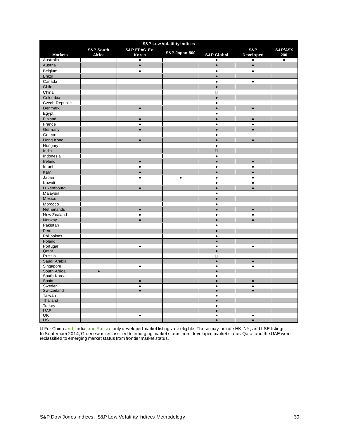|                       | <b>S&amp;P Low Volatility Indices</b> |                        |               |                        |                  |                |  |
|-----------------------|---------------------------------------|------------------------|---------------|------------------------|------------------|----------------|--|
| <b>Markets</b>        | <b>S&amp;P South</b><br>Africa        | S&P EPAC Ex.<br>Korea  | S&P Japan 500 | <b>S&amp;P Global</b>  | S&P<br>Developed | S&P/ASX<br>200 |  |
| Australia             |                                       | $\bullet$              |               | $\bullet$              | $\bullet$        | $\bullet$      |  |
| Austria               |                                       | $\bullet$              |               | $\bullet$              | $\bullet$        |                |  |
| Belgium               |                                       | $\bullet$              |               | $\bullet$              | $\bullet$        |                |  |
| <b>Brazil</b>         |                                       |                        |               | $\bullet$              |                  |                |  |
| Canada                |                                       |                        |               | $\bullet$              | $\bullet$        |                |  |
| Chile                 |                                       |                        |               | $\bullet$              |                  |                |  |
| China                 |                                       |                        |               | о                      |                  |                |  |
| Colombia              |                                       |                        |               | $\bullet$              |                  |                |  |
| Czech Republic        |                                       |                        |               | $\bullet$              |                  |                |  |
| Denmark               |                                       | $\bullet$              |               | $\bullet$              | $\bullet$        |                |  |
| Egypt                 |                                       |                        |               | $\bullet$              |                  |                |  |
| Finland               |                                       | $\bullet$              |               | $\bullet$              | $\bullet$        |                |  |
| France                |                                       | $\bullet$              |               | $\bullet$              | $\bullet$        |                |  |
| Germany               |                                       | $\bullet$              |               | $\bullet$              | $\bullet$        |                |  |
|                       |                                       |                        |               |                        |                  |                |  |
| Greece                |                                       | $\bullet$              |               | $\bullet$<br>$\bullet$ | $\bullet$        |                |  |
| Hong Kong             |                                       |                        |               |                        |                  |                |  |
| Hungary               |                                       |                        |               | $\bullet$<br>$\Box$    |                  |                |  |
| India                 |                                       |                        |               |                        |                  |                |  |
| Indonesia             |                                       |                        |               | $\bullet$              |                  |                |  |
| Ireland               |                                       | $\bullet$              |               | $\bullet$              | $\bullet$        |                |  |
| Israel                |                                       | $\bullet$              |               | $\bullet$              | $\bullet$        |                |  |
| Italy                 |                                       | $\bullet$              |               | $\bullet$              | $\bullet$        |                |  |
| Japan                 |                                       | $\bullet$              | $\bullet$     | $\bullet$              | $\bullet$        |                |  |
| Kuwait                |                                       |                        |               | $\bullet$              | $\bullet$        |                |  |
| Luxembourg            |                                       | $\bullet$              |               | $\bullet$              | $\bullet$        |                |  |
| Malaysia              |                                       |                        |               | $\bullet$              |                  |                |  |
| Mexico                |                                       |                        |               | $\bullet$              |                  |                |  |
| Morocco               |                                       |                        |               | $\bullet$              |                  |                |  |
| Netherlands           |                                       | $\bullet$              |               | $\bullet$              | $\bullet$        |                |  |
| New Zealand           |                                       | $\bullet$              |               | $\bullet$              | $\bullet$        |                |  |
| Norway                |                                       | $\bullet$              |               | $\bullet$              | $\bullet$        |                |  |
| Pakistan              |                                       |                        |               | $\bullet$              |                  |                |  |
| Peru                  |                                       |                        |               | $\bullet$              |                  |                |  |
| Philippines           |                                       |                        |               | $\bullet$              |                  |                |  |
| Poland                |                                       |                        |               | $\bullet$              |                  |                |  |
| Portugal              |                                       | $\bullet$              |               | $\bullet$              | $\bullet$        |                |  |
| Qatar                 |                                       |                        |               | $\bullet$              |                  |                |  |
| Russia                |                                       |                        |               | $\Box$                 |                  |                |  |
| Saudi Arabia          |                                       |                        |               | $\bullet$              | $\bullet$        |                |  |
| Singapore             |                                       | $\bullet$              |               | $\bullet$              | $\bullet$        |                |  |
| South Africa          | ă                                     |                        |               | $\bullet$              |                  |                |  |
| South Korea           |                                       |                        |               | $\bullet$              |                  |                |  |
| Spain                 |                                       | $\bullet$              |               | $\bullet$              | $\bullet$        |                |  |
| Sweden<br>Switzerland |                                       | $\bullet$<br>$\bullet$ |               | $\bullet$<br>$\bullet$ | $\bullet$        |                |  |
| Taiwan                |                                       |                        |               | $\bullet$              | $\bullet$        |                |  |
| Thailand              |                                       |                        |               | $\bullet$              |                  |                |  |
| Turkey                |                                       |                        |               | $\bullet$              |                  |                |  |
| <b>UAE</b>            |                                       |                        |               | $\bullet$              |                  |                |  |
| UK                    |                                       | $\bullet$              |               | $\bullet$              | $\bullet$        |                |  |
| US                    |                                       |                        |               | $\bullet$              | $\bullet$        |                |  |

For China <u>and<del>,</del></u> India<del>, and Russia</del>, only developed market listings are eligible. These may include HK, NY, and LSE listings. In September 2014, Greece was reclassified to emerging market status from developed market status. Qatar and the UAE were reclassified to emerging market status from frontier market status.

 $\overline{\phantom{a}}$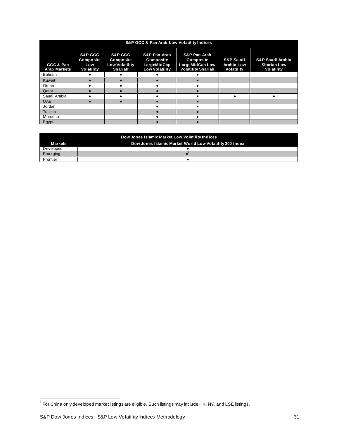|                                  | S&P GCC & Pan Arab Low Volatility Indices            |                                                                     |                                                                   |                                                                           |                                                  |                                                                 |  |  |
|----------------------------------|------------------------------------------------------|---------------------------------------------------------------------|-------------------------------------------------------------------|---------------------------------------------------------------------------|--------------------------------------------------|-----------------------------------------------------------------|--|--|
| GCC & Pan<br><b>Arab Markets</b> | <b>S&amp;P GCC</b><br>Composite<br>Low<br>Volatility | <b>S&amp;P GCC</b><br>Composite<br><b>Low Volatility</b><br>Shariah | S&P Pan Arab<br>Composite<br>LargeMidCap<br><b>Low Volatility</b> | S&P Pan Arab<br>Composite<br>LargeMidCap Low<br><b>Volatility Shariah</b> | <b>S&amp;P Saudi</b><br>Arabia Low<br>Volatility | <b>S&amp;P Saudi Arabia</b><br><b>Shariah Low</b><br>Volatility |  |  |
| Bahrain                          |                                                      |                                                                     |                                                                   |                                                                           |                                                  |                                                                 |  |  |
| Kuwait                           |                                                      |                                                                     |                                                                   |                                                                           |                                                  |                                                                 |  |  |
| Oman                             |                                                      |                                                                     |                                                                   |                                                                           |                                                  |                                                                 |  |  |
| Qatar                            |                                                      |                                                                     |                                                                   |                                                                           |                                                  |                                                                 |  |  |
| Saudi Arabia                     |                                                      |                                                                     |                                                                   |                                                                           |                                                  |                                                                 |  |  |
| <b>UAE</b>                       |                                                      |                                                                     |                                                                   |                                                                           |                                                  |                                                                 |  |  |
| Jordan                           |                                                      |                                                                     |                                                                   |                                                                           |                                                  |                                                                 |  |  |
| Tunisia                          |                                                      |                                                                     |                                                                   |                                                                           |                                                  |                                                                 |  |  |
| Morocco                          |                                                      |                                                                     |                                                                   |                                                                           |                                                  |                                                                 |  |  |
| Eavpt                            |                                                      |                                                                     |                                                                   |                                                                           |                                                  |                                                                 |  |  |

| Dow Jones Islamic Market Low Volatility Indices |                                                         |  |  |  |
|-------------------------------------------------|---------------------------------------------------------|--|--|--|
| <b>Markets</b>                                  | Dow Jones Islamic Market World Low Volatility 300 Index |  |  |  |
| Developed                                       |                                                         |  |  |  |
| Emerging                                        |                                                         |  |  |  |
| Frontier                                        |                                                         |  |  |  |

 $^5$  For China only developed market listings are eligible. Such listings may include HK, NY, and LSE listings.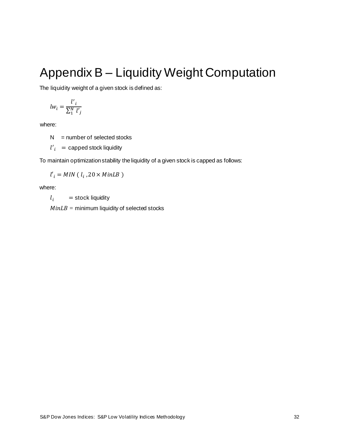# <span id="page-32-0"></span>Appendix B – Liquidity Weight Computation

The liquidity weight of a given stock is defined as:

$$
lw_i = \frac{l'_{i}}{\sum_{1}^{N} l'_{j}}
$$

where:

 $N =$  number of selected stocks

 $l'_i$  = capped stock liquidity

To maintain optimization stability the liquidity of a given stock is capped as follows:

 $l'_i = MIN( l_i, 20 \times MinLB )$ 

where:

 $l_i$  = stock liquidity

 $MinLB = minimum$  liquidity of selected stocks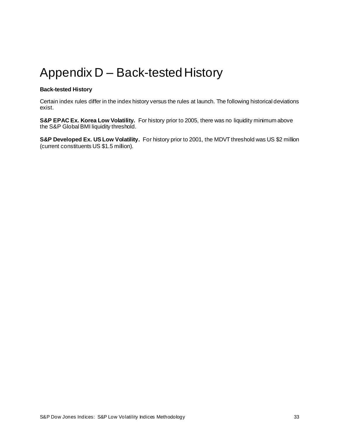# <span id="page-33-0"></span>Appendix D – Back-tested History

#### <span id="page-33-1"></span>**Back-tested History**

Certain index rules differ in the index history versus the rules at launch. The following historical deviations exist.

**S&P EPAC Ex. Korea Low Volatility.** For history prior to 2005, there was no liquidity minimum above the S&P Global BMI liquidity threshold.

**S&P Developed Ex. US Low Volatility.** For history prior to 2001, the MDVT threshold was US \$2 million (current constituents US \$1.5 million).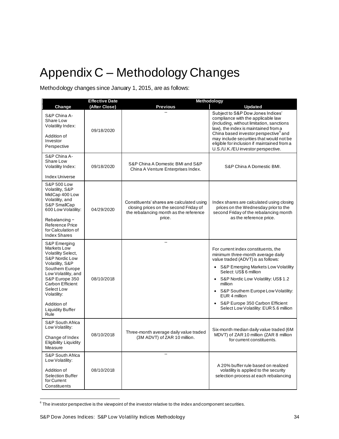# <span id="page-34-0"></span>Appendix C – Methodology Changes

Methodology changes since January 1, 2015, are as follows:

|                                                                                                                                                                                                                                                              | <b>Effective Date</b>       |                                                                                                                                         | Methodology                                                                                                                                                                                                                                                                                                                                                                                          |
|--------------------------------------------------------------------------------------------------------------------------------------------------------------------------------------------------------------------------------------------------------------|-----------------------------|-----------------------------------------------------------------------------------------------------------------------------------------|------------------------------------------------------------------------------------------------------------------------------------------------------------------------------------------------------------------------------------------------------------------------------------------------------------------------------------------------------------------------------------------------------|
| Change<br>S&P China A-<br>Share Low<br>Volatility Index:<br>Addition of<br>Investor<br>Perspective                                                                                                                                                           | (After Close)<br>09/18/2020 | <b>Previous</b>                                                                                                                         | <b>Updated</b><br>Subject to S&P Dow Jones Indices'<br>compliance with the applicable law<br>(including, without limitation, sanctions<br>law), the index is maintained from a<br>China based investor perspective <sup>6</sup> and<br>may include securities that would not be<br>eligible for inclusion if maintained from a<br>U.S./U.K./EU investor perspective.                                 |
| S&P China A-<br>Share Low<br>Volatility Index:<br><b>Index Universe</b>                                                                                                                                                                                      | 09/18/2020                  | S&P China A Domestic BMI and S&P<br>China A Venture Enterprises Index.                                                                  | S&P China A Domestic BML                                                                                                                                                                                                                                                                                                                                                                             |
| <b>S&amp;P 500 Low</b><br>Volatility, S&P<br>MidCap 400 Low<br>Volatility, and<br>S&P SmallCap<br>600 Low Volatility:<br>Rebalancing-<br>Reference Price<br>for Calculation of<br><b>Index Shares</b>                                                        | 04/29/2020                  | Constituents' shares are calculated using<br>closing prices on the second Friday of<br>the rebalancing month as the reference<br>price. | Index shares are calculated using closing<br>prices on the Wednesday prior to the<br>second Friday of the rebalancing month<br>as the reference price.                                                                                                                                                                                                                                               |
| S&P Emerging<br>Markets Low<br><b>Volatility Select,</b><br>S&P Nordic Low<br>Volatility, S&P<br>Southern Europe<br>Low Volatility, and<br>S&P Europe 350<br>Carbon Efficient<br>Select Low<br>Volatility:<br>Addition of<br><b>Liquidity Buffer</b><br>Rule | 08/10/2018                  | $\overline{a}$                                                                                                                          | For current index constituents, the<br>minimum three-month average daily<br>value traded (ADVT) is as follows:<br>• S&P Emerging Markets Low Volatility<br>Select: US\$ 6 million<br>S&P Nordic Low Volatility: US\$ 1.2<br>$\bullet$<br>million<br>• S&P Southern Europe Low Volatility:<br>EUR 4 million<br>S&P Europe 350 Carbon Efficient<br>$\bullet$<br>Select Low Volatility: EUR 5.6 million |
| S&P South Africa<br>Low Volatility:<br>Change of Index<br><b>Eligibility Liquidity</b><br>Measure                                                                                                                                                            | 08/10/2018                  | Three-month average daily value traded<br>(3M ADVT) of ZAR 10 million.                                                                  | Six-month median daily value traded (6M<br>MDVT) of ZAR 10 million (ZAR 8 million<br>for current constituents.                                                                                                                                                                                                                                                                                       |
| S&P South Africa<br>Low Volatility:<br>Addition of<br>Selection Buffer<br>for Current<br>Constituents                                                                                                                                                        | 08/10/2018                  |                                                                                                                                         | A 20% buffer rule based on realized<br>volatility is applied to the security<br>selection process at each rebalancing                                                                                                                                                                                                                                                                                |

 $^6$  The investor perspective is the viewpoint of the investor relative to the index and component securities.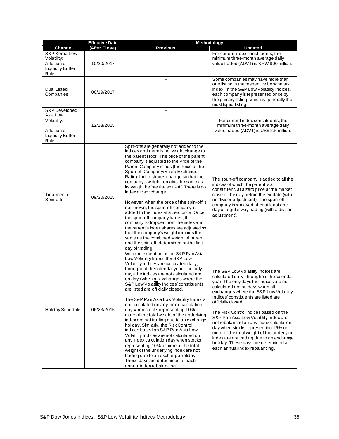|                                                                                            | <b>Effective Date</b> | Methodology                                                                                                                                                                                                                                                                                                                                                                                                                                                                                                                                                                                                                                                                                                                                                                                                                                                                                                                 |                                                                                                                                                                                                                                                                                                                                                                                                                                                                                                                                                                                                                |  |
|--------------------------------------------------------------------------------------------|-----------------------|-----------------------------------------------------------------------------------------------------------------------------------------------------------------------------------------------------------------------------------------------------------------------------------------------------------------------------------------------------------------------------------------------------------------------------------------------------------------------------------------------------------------------------------------------------------------------------------------------------------------------------------------------------------------------------------------------------------------------------------------------------------------------------------------------------------------------------------------------------------------------------------------------------------------------------|----------------------------------------------------------------------------------------------------------------------------------------------------------------------------------------------------------------------------------------------------------------------------------------------------------------------------------------------------------------------------------------------------------------------------------------------------------------------------------------------------------------------------------------------------------------------------------------------------------------|--|
| Change                                                                                     | (After Close)         | <b>Previous</b>                                                                                                                                                                                                                                                                                                                                                                                                                                                                                                                                                                                                                                                                                                                                                                                                                                                                                                             | <b>Updated</b>                                                                                                                                                                                                                                                                                                                                                                                                                                                                                                                                                                                                 |  |
| S&P Korea Low<br>Volatility:<br>Addition of<br><b>Liquidity Buffer</b><br>Rule             | 10/20/2017            |                                                                                                                                                                                                                                                                                                                                                                                                                                                                                                                                                                                                                                                                                                                                                                                                                                                                                                                             | For current index constituents, the<br>minimum three-month average daily<br>value traded (ADVT) is KRW 800 million.                                                                                                                                                                                                                                                                                                                                                                                                                                                                                            |  |
| Dual Listed<br>Companies                                                                   | 06/19/2017            | --                                                                                                                                                                                                                                                                                                                                                                                                                                                                                                                                                                                                                                                                                                                                                                                                                                                                                                                          | Some companies may have more than<br>one listing in the respective benchmark<br>index. In the S&P Low Volatility Indices,<br>each company is represented once by<br>the primary listing, which is generally the<br>most liquid listing.                                                                                                                                                                                                                                                                                                                                                                        |  |
| S&P Developed<br>Asia Low<br>Volatility:<br>Addition of<br><b>Liquidity Buffer</b><br>Rule | 12/18/2015            |                                                                                                                                                                                                                                                                                                                                                                                                                                                                                                                                                                                                                                                                                                                                                                                                                                                                                                                             | For current index constituents, the<br>minimum three-month average daily<br>value traded (ADVT) is US\$ 2.5 million.                                                                                                                                                                                                                                                                                                                                                                                                                                                                                           |  |
| Treatment of<br>Spin-offs                                                                  | 09/30/2015            | Spin-offs are generally not added to the<br>indices and there is no weight change to<br>the parent stock. The price of the parent<br>company is adjusted to the Price of the<br>Parent Company minus (the Price of the<br>Spun-off Company/Share Exchange<br>Ratio). Index shares change so that the<br>company's weight remains the same as<br>its weight before the spin-off. There is no<br>index divisor change.<br>However, when the price of the spin-off is<br>not known, the spun-off company is<br>added to the index at a zero price. Once<br>the spun-off company trades, the<br>company is dropped from the index and<br>the parent's index shares are adjusted so<br>that the company's weight remains the<br>same as the combined weight of parent<br>and the spin-off, determined on the first<br>day of trading.                                                                                            | The spun-off company is added to all the<br>indices of which the parent is a<br>constituent, at a zero price at the market<br>close of the day before the ex-date (with<br>no divisor adjustment). The spun-off<br>company is removed after at least one<br>day of regular way trading (with a divisor<br>adjustment).                                                                                                                                                                                                                                                                                         |  |
| Holiday Schedule                                                                           | 06/23/2015            | With the exception of the S&P Pan Asia<br>Low Volatility Index, the S&P Low<br>Volatility Indices are calculated daily,<br>throughout the calendar year. The only<br>days the indices are not calculated are<br>on days when all exchanges where the<br>S&P Low Volatility Indices' constituents<br>are listed are officially closed.<br>The S&P Pan Asia Low Volatility Index is<br>not calculated on any index calculation<br>day when stocks representing 10% or<br>more of the total weight of the underlying<br>index are not trading due to an exchange<br>holiday. Similarly, the Risk Control<br>indices based on S&P Pan Asia Low<br>Volatility Indices are not calculated on<br>any index calculation day when stocks<br>representing 10% or more of the total<br>weight of the underlying index are not<br>trading due to an exchange holiday.<br>These days are determined at each<br>annual index rebalancing. | The S&P Low Volatility Indices are<br>calculated daily, throughout the calendar<br>year. The only days the indices are not<br>calculated are on days when all<br>exchanges where the S&P Low Volatility<br>Indices' constituents are listed are<br>officially closed.<br>The Risk Control indices based on the<br>S&P Pan Asia Low Volatility Index are<br>not rebalanced on any index calculation<br>day when stocks representing 15% or<br>more of the total weight of the underlying<br>index are not trading due to an exchange<br>holiday. These days are determined at<br>each annual index rebalancing. |  |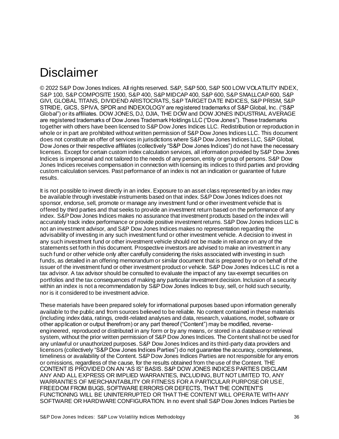# <span id="page-36-0"></span>Disclaimer

© 2022 S&P Dow Jones Indices. All rights reserved. S&P, S&P 500, S&P 500 LOW VOLATILITY INDEX, S&P 100, S&P COMPOSITE 1500, S&P 400, S&P MIDCAP 400, S&P 600, S&P SMALLCAP 600, S&P GIVI, GLOBAL TITANS, DIVIDEND ARISTOCRATS, S&P TARGET DATE INDICES, S&P PRISM, S&P STRIDE, GICS, SPIVA, SPDR and INDEXOLOGY are registered trademarks of S&P Global, Inc. ("S&P Global") or its affiliates. DOW JONES, DJ, DJIA, THE DOW and DOW JONES INDUSTRIAL AVERAGE are registered trademarks of Dow Jones Trademark Holdings LLC ("Dow Jones"). These trademarks together with others have been licensed to S&P Dow Jones Indices LLC. Redistribution or reproduction in whole or in part are prohibited without written permission of S&P Dow Jones Indices LLC. This document does not constitute an offer of services in jurisdictions where S&P Dow Jones Indices LLC, S&P Global, Dow Jones or their respective affiliates (collectively "S&P Dow Jones Indices") do not have the necessary licenses. Except for certain custom index calculation services, all information provided by S&P Dow Jones Indices is impersonal and not tailored to the needs of any person, entity or group of persons. S&P Dow Jones Indices receives compensation in connection with licensing its indices to third parties and providing custom calculation services. Past performance of an index is not an indication or guarantee of future results.

It is not possible to invest directly in an index. Exposure to an asset class represented by an index may be available through investable instruments based on that index. S&P Dow Jones Indices does not sponsor, endorse, sell, promote or manage any investment fund or other investment vehicle that is offered by third parties and that seeks to provide an investment return based on the performance of any index. S&P Dow Jones Indices makes no assurance that investment products based on the index will accurately track index performance or provide positive investment returns. S&P Dow Jones Indices LLC is not an investment advisor, and S&P Dow Jones Indices makes no representation regarding the advisability of investing in any such investment fund or other investment vehicle. A decision to invest in any such investment fund or other investment vehicle should not be made in reliance on any of the statements set forth in this document. Prospective investors are advised to make an investment in any such fund or other vehicle only after carefully considering the risks associated with investing in such funds, as detailed in an offering memorandum or similar document that is prepared by or on behalf of the issuer of the investment fund or other investment product or vehicle. S&P Dow Jones Indices LLC is not a tax advisor. A tax advisor should be consulted to evaluate the impact of any tax-exempt securities on portfolios and the tax consequences of making any particular investment decision. Inclusion of a security within an index is not a recommendation by S&P Dow Jones Indices to buy, sell, or hold such security, nor is it considered to be investment advice.

These materials have been prepared solely for informational purposes based upon information generally available to the public and from sources believed to be reliable. No content contained in these materials (including index data, ratings, credit-related analyses and data, research, valuations, model, software or other application or output therefrom) or any part thereof ("Content") may be modified, reverseengineered, reproduced or distributed in any form or by any means, or stored in a database or retrieval system, without the prior written permission of S&P Dow Jones Indices. The Content shall not be used for any unlawful or unauthorized purposes. S&P Dow Jones Indices and its third-party data providers and licensors (collectively "S&P Dow Jones Indices Parties") do not guarantee the accuracy, completeness, timeliness or availability of the Content. S&P Dow Jones Indices Parties are not responsible for any errors or omissions, regardless of the cause, for the results obtained from the use of the Content. THE CONTENT IS PROVIDED ON AN "AS IS" BASIS. S&P DOW JONES INDICES PARTIES DISCLAIM ANY AND ALL EXPRESS OR IMPLIED WARRANTIES, INCLUDING, BUT NOT LIMITED TO, ANY WARRANTIES OF MERCHANTABILITY OR FITNESS FOR A PARTICULAR PURPOSE OR USE, FREEDOM FROM BUGS, SOFTWARE ERRORS OR DEFECTS, THAT THE CONTENT'S FUNCTIONING WILL BE UNINTERRUPTED OR THAT THE CONTENT WILL OPERATE WITH ANY SOFTWARE OR HARDWARE CONFIGURATION. In no event shall S&P Dow Jones Indices Parties be